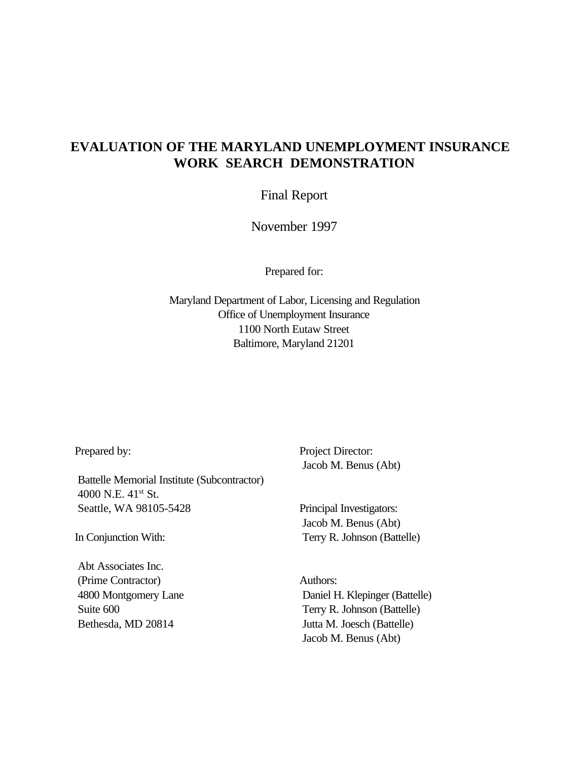# **EVALUATION OF THE MARYLAND UNEMPLOYMENT INSURANCE WORK SEARCH DEMONSTRATION**

Final Report

November 1997

Prepared for:

Maryland Department of Labor, Licensing and Regulation Office of Unemployment Insurance 1100 North Eutaw Street Baltimore, Maryland 21201

Prepared by:

Battelle Memorial Institute (Subcontractor) 4000 N.E. 41<sup>st</sup> St. Seattle, WA 98105-5428

In Conjunction With:

Abt Associates Inc. (Prime Contractor) 4800 Montgomery Lane Suite 600 Bethesda, MD 20814

Project Director: Jacob M. Benus (Abt)

Principal Investigators: Jacob M. Benus (Abt) Terry R. Johnson (Battelle)

Authors: Daniel H. Klepinger (Battelle) Terry R. Johnson (Battelle) Jutta M. Joesch (Battelle) Jacob M. Benus (Abt)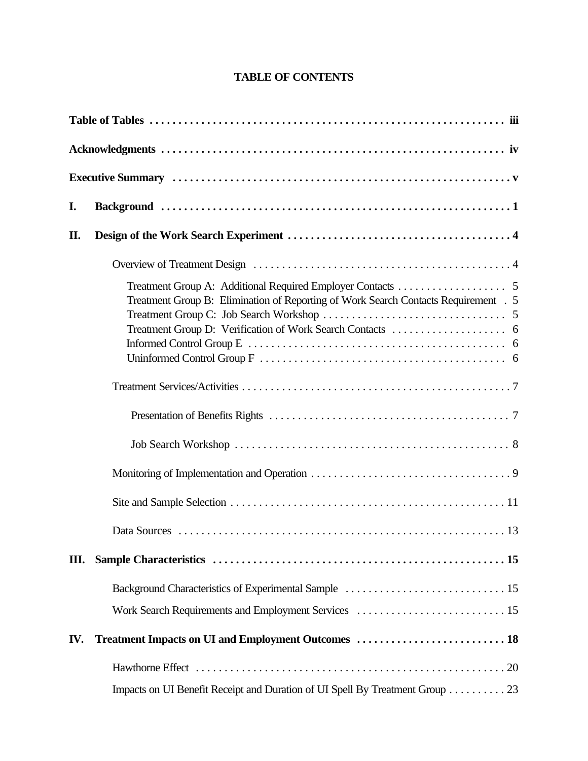# **TABLE OF CONTENTS**

| I.  |                                                                                     |
|-----|-------------------------------------------------------------------------------------|
| II. |                                                                                     |
|     |                                                                                     |
|     | Treatment Group B: Elimination of Reporting of Work Search Contacts Requirement . 5 |
|     |                                                                                     |
|     |                                                                                     |
|     |                                                                                     |
|     |                                                                                     |
|     |                                                                                     |
|     |                                                                                     |
| Ш.  |                                                                                     |
|     |                                                                                     |
|     |                                                                                     |
| IV. |                                                                                     |
|     |                                                                                     |
|     | Impacts on UI Benefit Receipt and Duration of UI Spell By Treatment Group 23        |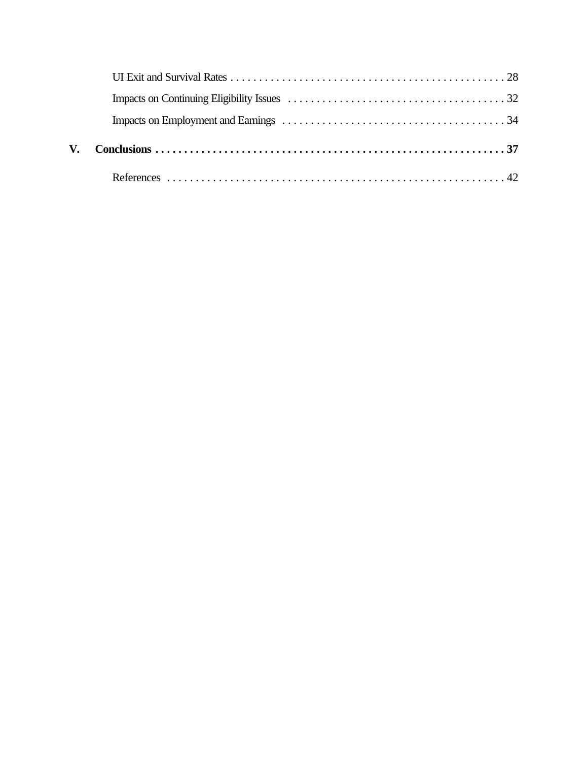| V. |  |
|----|--|
|    |  |
|    |  |
|    |  |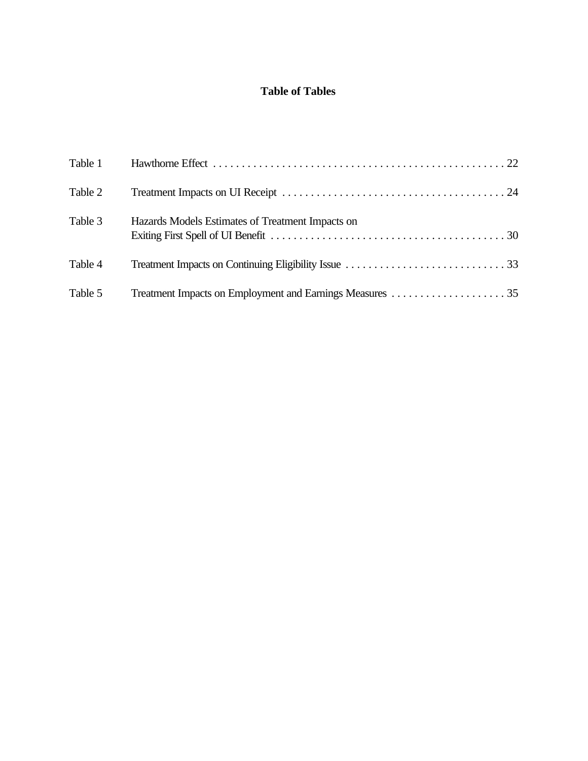# **Table of Tables**

| Table 1 |                                                  |
|---------|--------------------------------------------------|
| Table 2 |                                                  |
| Table 3 | Hazards Models Estimates of Treatment Impacts on |
| Table 4 |                                                  |
| Table 5 |                                                  |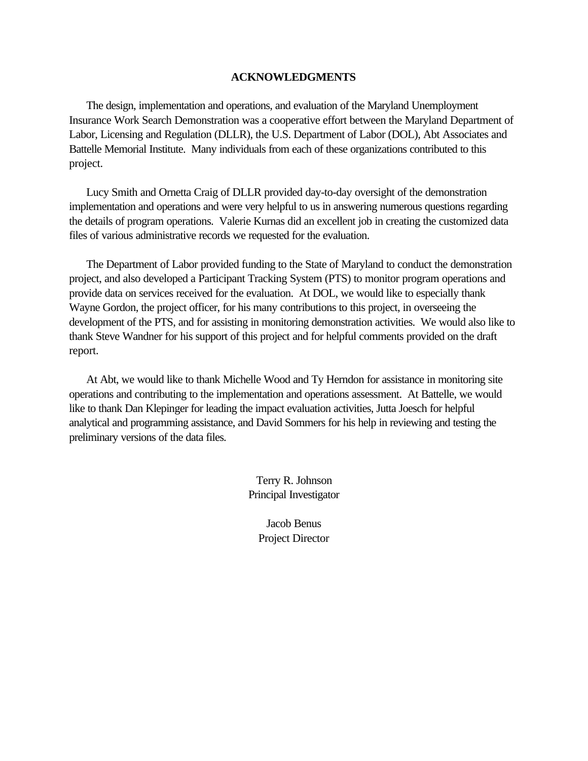# **ACKNOWLEDGMENTS**

The design, implementation and operations, and evaluation of the Maryland Unemployment Insurance Work Search Demonstration was a cooperative effort between the Maryland Department of Labor, Licensing and Regulation (DLLR), the U.S. Department of Labor (DOL), Abt Associates and Battelle Memorial Institute. Many individuals from each of these organizations contributed to this project.

Lucy Smith and Ornetta Craig of DLLR provided day-to-day oversight of the demonstration implementation and operations and were very helpful to us in answering numerous questions regarding the details of program operations. Valerie Kurnas did an excellent job in creating the customized data files of various administrative records we requested for the evaluation.

The Department of Labor provided funding to the State of Maryland to conduct the demonstration project, and also developed a Participant Tracking System (PTS) to monitor program operations and provide data on services received for the evaluation. At DOL, we would like to especially thank Wayne Gordon, the project officer, for his many contributions to this project, in overseeing the development of the PTS, and for assisting in monitoring demonstration activities. We would also like to thank Steve Wandner for his support of this project and for helpful comments provided on the draft report.

At Abt, we would like to thank Michelle Wood and Ty Herndon for assistance in monitoring site operations and contributing to the implementation and operations assessment. At Battelle, we would like to thank Dan Klepinger for leading the impact evaluation activities, Jutta Joesch for helpful analytical and programming assistance, and David Sommers for his help in reviewing and testing the preliminary versions of the data files.

> Terry R. Johnson Principal Investigator

> > Jacob Benus Project Director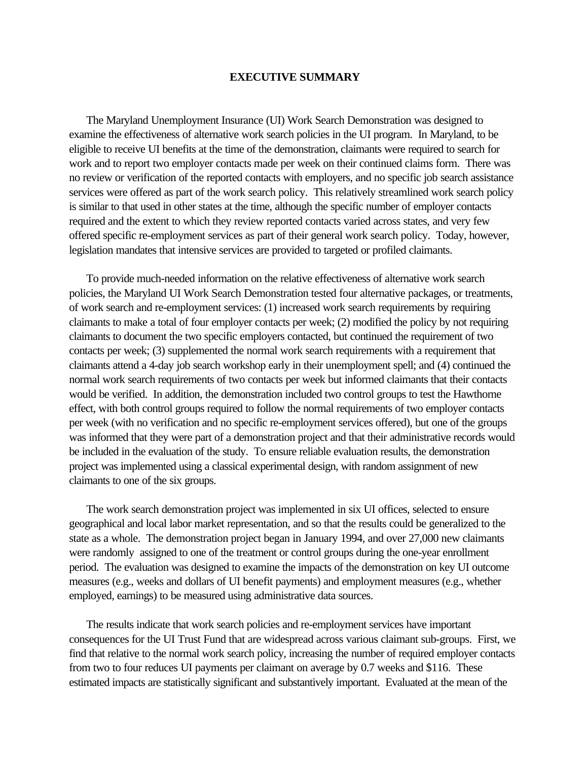#### **EXECUTIVE SUMMARY**

The Maryland Unemployment Insurance (UI) Work Search Demonstration was designed to examine the effectiveness of alternative work search policies in the UI program. In Maryland, to be eligible to receive UI benefits at the time of the demonstration, claimants were required to search for work and to report two employer contacts made per week on their continued claims form. There was no review or verification of the reported contacts with employers, and no specific job search assistance services were offered as part of the work search policy. This relatively streamlined work search policy is similar to that used in other states at the time, although the specific number of employer contacts required and the extent to which they review reported contacts varied across states, and very few offered specific re-employment services as part of their general work search policy. Today, however, legislation mandates that intensive services are provided to targeted or profiled claimants.

To provide much-needed information on the relative effectiveness of alternative work search policies, the Maryland UI Work Search Demonstration tested four alternative packages, or treatments, of work search and re-employment services: (1) increased work search requirements by requiring claimants to make a total of four employer contacts per week; (2) modified the policy by not requiring claimants to document the two specific employers contacted, but continued the requirement of two contacts per week; (3) supplemented the normal work search requirements with a requirement that claimants attend a 4-day job search workshop early in their unemployment spell; and (4) continued the normal work search requirements of two contacts per week but informed claimants that their contacts would be verified. In addition, the demonstration included two control groups to test the Hawthorne effect, with both control groups required to follow the normal requirements of two employer contacts per week (with no verification and no specific re-employment services offered), but one of the groups was informed that they were part of a demonstration project and that their administrative records would be included in the evaluation of the study. To ensure reliable evaluation results, the demonstration project was implemented using a classical experimental design, with random assignment of new claimants to one of the six groups.

The work search demonstration project was implemented in six UI offices, selected to ensure geographical and local labor market representation, and so that the results could be generalized to the state as a whole. The demonstration project began in January 1994, and over 27,000 new claimants were randomly assigned to one of the treatment or control groups during the one-year enrollment period. The evaluation was designed to examine the impacts of the demonstration on key UI outcome measures (e.g., weeks and dollars of UI benefit payments) and employment measures (e.g., whether employed, earnings) to be measured using administrative data sources.

The results indicate that work search policies and re-employment services have important consequences for the UI Trust Fund that are widespread across various claimant sub-groups. First, we find that relative to the normal work search policy, increasing the number of required employer contacts from two to four reduces UI payments per claimant on average by 0.7 weeks and \$116. These estimated impacts are statistically significant and substantively important. Evaluated at the mean of the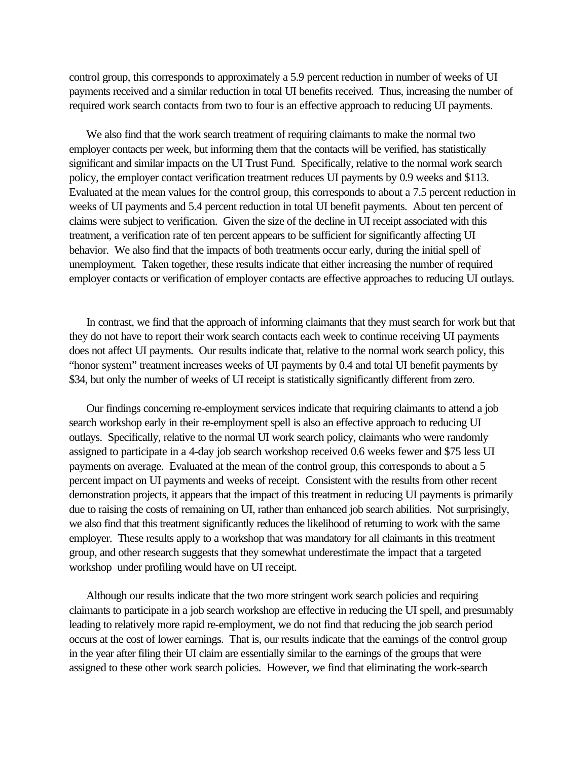control group, this corresponds to approximately a 5.9 percent reduction in number of weeks of UI payments received and a similar reduction in total UI benefits received. Thus, increasing the number of required work search contacts from two to four is an effective approach to reducing UI payments.

We also find that the work search treatment of requiring claimants to make the normal two employer contacts per week, but informing them that the contacts will be verified, has statistically significant and similar impacts on the UI Trust Fund. Specifically, relative to the normal work search policy, the employer contact verification treatment reduces UI payments by 0.9 weeks and \$113. Evaluated at the mean values for the control group, this corresponds to about a 7.5 percent reduction in weeks of UI payments and 5.4 percent reduction in total UI benefit payments. About ten percent of claims were subject to verification. Given the size of the decline in UI receipt associated with this treatment, a verification rate of ten percent appears to be sufficient for significantly affecting UI behavior. We also find that the impacts of both treatments occur early, during the initial spell of unemployment. Taken together, these results indicate that either increasing the number of required employer contacts or verification of employer contacts are effective approaches to reducing UI outlays.

In contrast, we find that the approach of informing claimants that they must search for work but that they do not have to report their work search contacts each week to continue receiving UI payments does not affect UI payments. Our results indicate that, relative to the normal work search policy, this "honor system" treatment increases weeks of UI payments by 0.4 and total UI benefit payments by \$34, but only the number of weeks of UI receipt is statistically significantly different from zero.

Our findings concerning re-employment services indicate that requiring claimants to attend a job search workshop early in their re-employment spell is also an effective approach to reducing UI outlays. Specifically, relative to the normal UI work search policy, claimants who were randomly assigned to participate in a 4-day job search workshop received 0.6 weeks fewer and \$75 less UI payments on average. Evaluated at the mean of the control group, this corresponds to about a 5 percent impact on UI payments and weeks of receipt. Consistent with the results from other recent demonstration projects, it appears that the impact of this treatment in reducing UI payments is primarily due to raising the costs of remaining on UI, rather than enhanced job search abilities. Not surprisingly, we also find that this treatment significantly reduces the likelihood of returning to work with the same employer. These results apply to a workshop that was mandatory for all claimants in this treatment group, and other research suggests that they somewhat underestimate the impact that a targeted workshop under profiling would have on UI receipt.

Although our results indicate that the two more stringent work search policies and requiring claimants to participate in a job search workshop are effective in reducing the UI spell, and presumably leading to relatively more rapid re-employment, we do not find that reducing the job search period occurs at the cost of lower earnings. That is, our results indicate that the earnings of the control group in the year after filing their UI claim are essentially similar to the earnings of the groups that were assigned to these other work search policies. However, we find that eliminating the work-search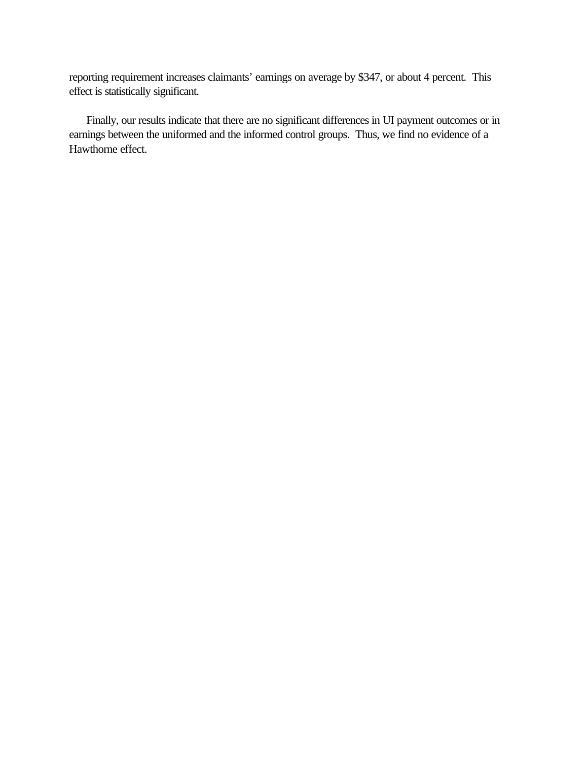reporting requirement increases claimants' earnings on average by \$347, or about 4 percent. This effect is statistically significant.

Finally, our results indicate that there are no significant differences in UI payment outcomes or in earnings between the uniformed and the informed control groups. Thus, we find no evidence of a Hawthorne effect.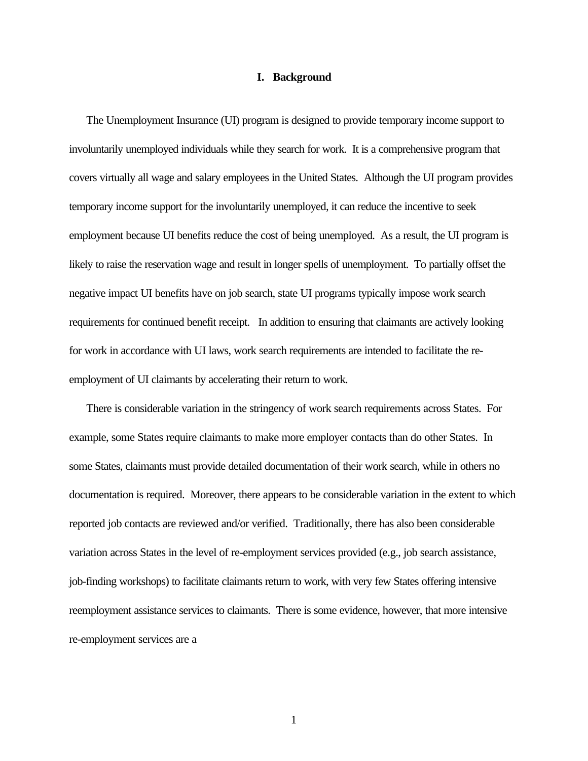## **I. Background**

The Unemployment Insurance (UI) program is designed to provide temporary income support to involuntarily unemployed individuals while they search for work. It is a comprehensive program that covers virtually all wage and salary employees in the United States. Although the UI program provides temporary income support for the involuntarily unemployed, it can reduce the incentive to seek employment because UI benefits reduce the cost of being unemployed. As a result, the UI program is likely to raise the reservation wage and result in longer spells of unemployment. To partially offset the negative impact UI benefits have on job search, state UI programs typically impose work search requirements for continued benefit receipt. In addition to ensuring that claimants are actively looking for work in accordance with UI laws, work search requirements are intended to facilitate the reemployment of UI claimants by accelerating their return to work.

There is considerable variation in the stringency of work search requirements across States. For example, some States require claimants to make more employer contacts than do other States. In some States, claimants must provide detailed documentation of their work search, while in others no documentation is required. Moreover, there appears to be considerable variation in the extent to which reported job contacts are reviewed and/or verified. Traditionally, there has also been considerable variation across States in the level of re-employment services provided (e.g., job search assistance, job-finding workshops) to facilitate claimants return to work, with very few States offering intensive reemployment assistance services to claimants. There is some evidence, however, that more intensive re-employment services are a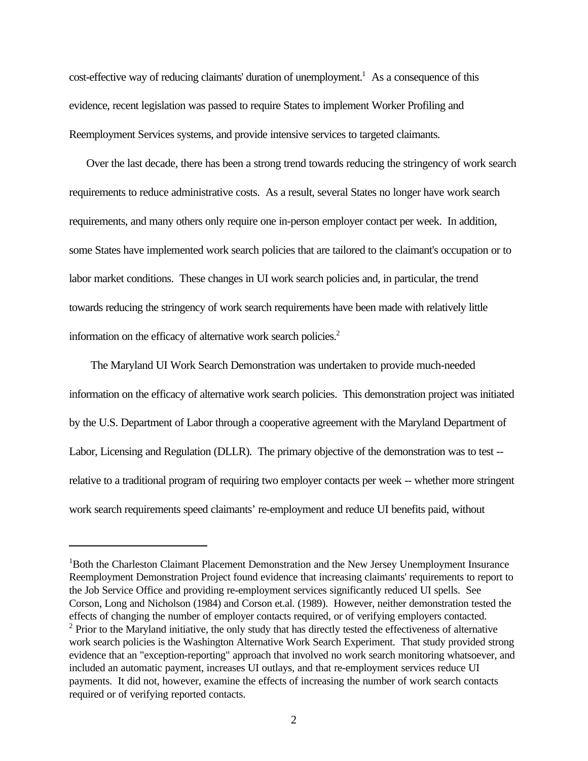cost-effective way of reducing claimants' duration of unemployment.<sup>1</sup> As a consequence of this evidence, recent legislation was passed to require States to implement Worker Profiling and Reemployment Services systems, and provide intensive services to targeted claimants.

Over the last decade, there has been a strong trend towards reducing the stringency of work search requirements to reduce administrative costs. As a result, several States no longer have work search requirements, and many others only require one in-person employer contact per week. In addition, some States have implemented work search policies that are tailored to the claimant's occupation or to labor market conditions. These changes in UI work search policies and, in particular, the trend towards reducing the stringency of work search requirements have been made with relatively little information on the efficacy of alternative work search policies.<sup>2</sup>

The Maryland UI Work Search Demonstration was undertaken to provide much-needed information on the efficacy of alternative work search policies. This demonstration project was initiated by the U.S. Department of Labor through a cooperative agreement with the Maryland Department of Labor, Licensing and Regulation (DLLR). The primary objective of the demonstration was to test - relative to a traditional program of requiring two employer contacts per week -- whether more stringent work search requirements speed claimants' re-employment and reduce UI benefits paid, without

<sup>&</sup>lt;sup>1</sup>Both the Charleston Claimant Placement Demonstration and the New Jersey Unemployment Insurance Reemployment Demonstration Project found evidence that increasing claimants' requirements to report to the Job Service Office and providing re-employment services significantly reduced UI spells. See Corson, Long and Nicholson (1984) and Corson et.al. (1989). However, neither demonstration tested the effects of changing the number of employer contacts required, or of verifying employers contacted. <sup>2</sup> Prior to the Maryland initiative, the only study that has directly tested the effectiveness of alternative work search policies is the Washington Alternative Work Search Experiment. That study provided strong evidence that an "exception-reporting" approach that involved no work search monitoring whatsoever, and included an automatic payment, increases UI outlays, and that re-employment services reduce UI payments. It did not, however, examine the effects of increasing the number of work search contacts required or of verifying reported contacts.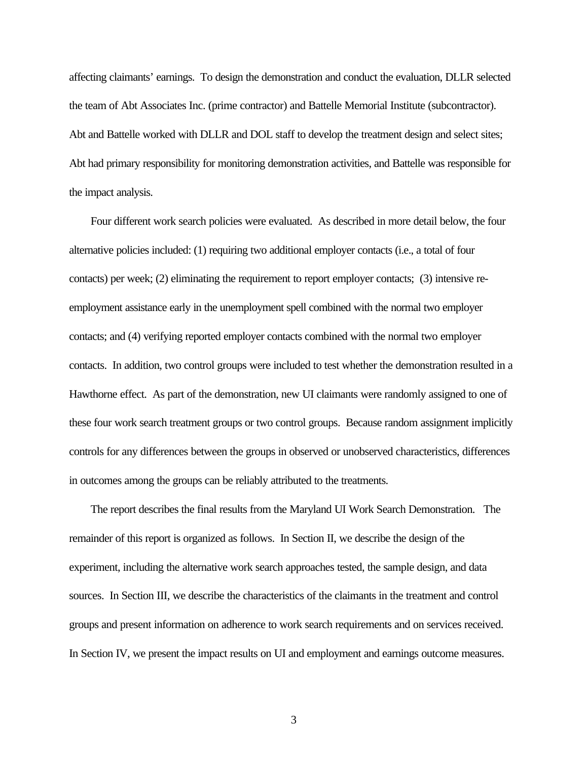affecting claimants' earnings. To design the demonstration and conduct the evaluation, DLLR selected the team of Abt Associates Inc. (prime contractor) and Battelle Memorial Institute (subcontractor). Abt and Battelle worked with DLLR and DOL staff to develop the treatment design and select sites; Abt had primary responsibility for monitoring demonstration activities, and Battelle was responsible for the impact analysis.

Four different work search policies were evaluated. As described in more detail below, the four alternative policies included: (1) requiring two additional employer contacts (i.e., a total of four contacts) per week; (2) eliminating the requirement to report employer contacts; (3) intensive reemployment assistance early in the unemployment spell combined with the normal two employer contacts; and (4) verifying reported employer contacts combined with the normal two employer contacts. In addition, two control groups were included to test whether the demonstration resulted in a Hawthorne effect. As part of the demonstration, new UI claimants were randomly assigned to one of these four work search treatment groups or two control groups. Because random assignment implicitly controls for any differences between the groups in observed or unobserved characteristics, differences in outcomes among the groups can be reliably attributed to the treatments.

The report describes the final results from the Maryland UI Work Search Demonstration. The remainder of this report is organized as follows. In Section II, we describe the design of the experiment, including the alternative work search approaches tested, the sample design, and data sources. In Section III, we describe the characteristics of the claimants in the treatment and control groups and present information on adherence to work search requirements and on services received. In Section IV, we present the impact results on UI and employment and earnings outcome measures.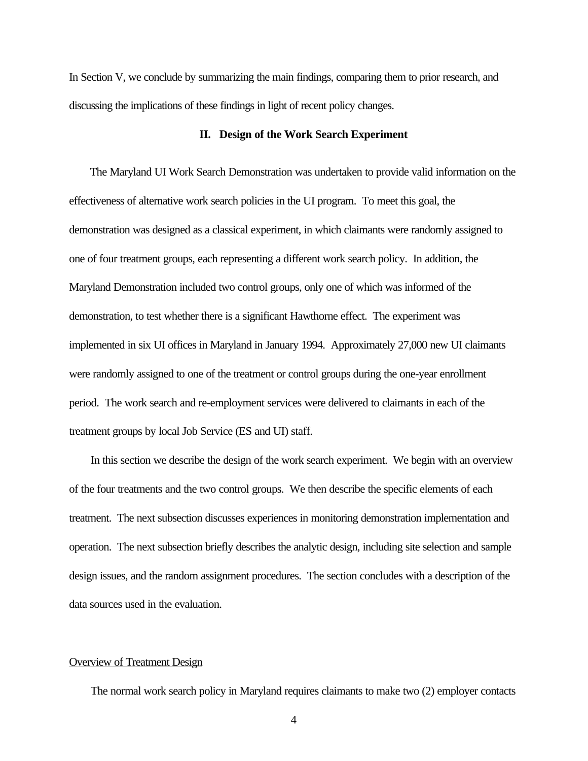In Section V, we conclude by summarizing the main findings, comparing them to prior research, and discussing the implications of these findings in light of recent policy changes.

#### **II. Design of the Work Search Experiment**

The Maryland UI Work Search Demonstration was undertaken to provide valid information on the effectiveness of alternative work search policies in the UI program. To meet this goal, the demonstration was designed as a classical experiment, in which claimants were randomly assigned to one of four treatment groups, each representing a different work search policy. In addition, the Maryland Demonstration included two control groups, only one of which was informed of the demonstration, to test whether there is a significant Hawthorne effect. The experiment was implemented in six UI offices in Maryland in January 1994. Approximately 27,000 new UI claimants were randomly assigned to one of the treatment or control groups during the one-year enrollment period. The work search and re-employment services were delivered to claimants in each of the treatment groups by local Job Service (ES and UI) staff.

In this section we describe the design of the work search experiment. We begin with an overview of the four treatments and the two control groups. We then describe the specific elements of each treatment. The next subsection discusses experiences in monitoring demonstration implementation and operation. The next subsection briefly describes the analytic design, including site selection and sample design issues, and the random assignment procedures. The section concludes with a description of the data sources used in the evaluation.

#### Overview of Treatment Design

The normal work search policy in Maryland requires claimants to make two (2) employer contacts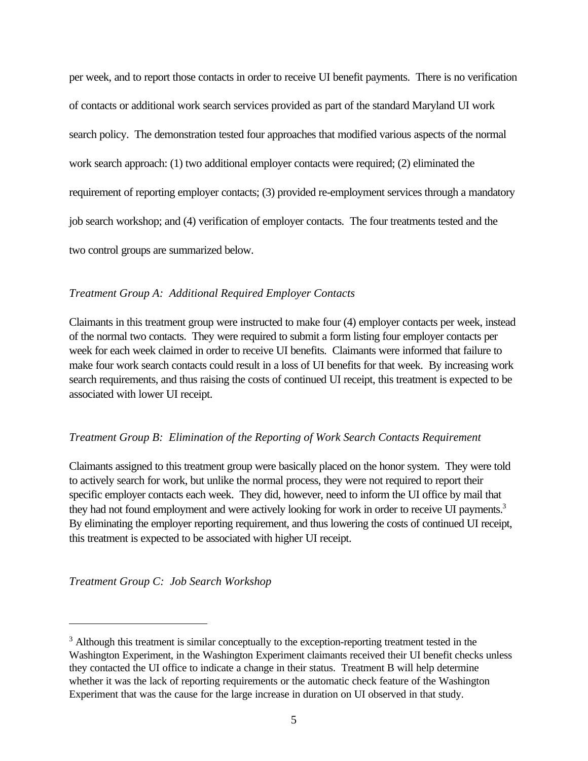per week, and to report those contacts in order to receive UI benefit payments. There is no verification of contacts or additional work search services provided as part of the standard Maryland UI work search policy. The demonstration tested four approaches that modified various aspects of the normal work search approach: (1) two additional employer contacts were required; (2) eliminated the requirement of reporting employer contacts; (3) provided re-employment services through a mandatory job search workshop; and (4) verification of employer contacts. The four treatments tested and the two control groups are summarized below.

# *Treatment Group A: Additional Required Employer Contacts*

Claimants in this treatment group were instructed to make four (4) employer contacts per week, instead of the normal two contacts. They were required to submit a form listing four employer contacts per week for each week claimed in order to receive UI benefits. Claimants were informed that failure to make four work search contacts could result in a loss of UI benefits for that week. By increasing work search requirements, and thus raising the costs of continued UI receipt, this treatment is expected to be associated with lower UI receipt.

# *Treatment Group B: Elimination of the Reporting of Work Search Contacts Requirement*

Claimants assigned to this treatment group were basically placed on the honor system. They were told to actively search for work, but unlike the normal process, they were not required to report their specific employer contacts each week. They did, however, need to inform the UI office by mail that they had not found employment and were actively looking for work in order to receive UI payments.<sup>3</sup> By eliminating the employer reporting requirement, and thus lowering the costs of continued UI receipt, this treatment is expected to be associated with higher UI receipt.

*Treatment Group C: Job Search Workshop*

<sup>&</sup>lt;sup>3</sup> Although this treatment is similar conceptually to the exception-reporting treatment tested in the Washington Experiment, in the Washington Experiment claimants received their UI benefit checks unless they contacted the UI office to indicate a change in their status. Treatment B will help determine whether it was the lack of reporting requirements or the automatic check feature of the Washington Experiment that was the cause for the large increase in duration on UI observed in that study.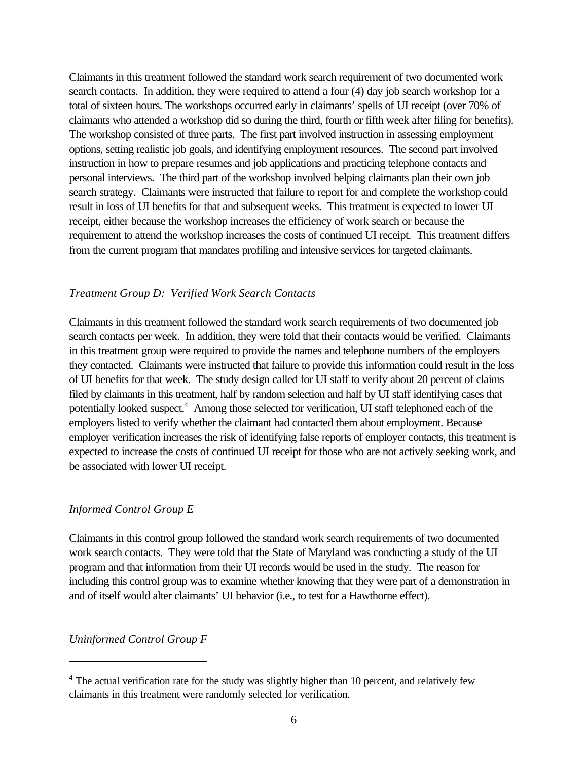Claimants in this treatment followed the standard work search requirement of two documented work search contacts. In addition, they were required to attend a four (4) day job search workshop for a total of sixteen hours. The workshops occurred early in claimants' spells of UI receipt (over 70% of claimants who attended a workshop did so during the third, fourth or fifth week after filing for benefits). The workshop consisted of three parts. The first part involved instruction in assessing employment options, setting realistic job goals, and identifying employment resources. The second part involved instruction in how to prepare resumes and job applications and practicing telephone contacts and personal interviews. The third part of the workshop involved helping claimants plan their own job search strategy. Claimants were instructed that failure to report for and complete the workshop could result in loss of UI benefits for that and subsequent weeks. This treatment is expected to lower UI receipt, either because the workshop increases the efficiency of work search or because the requirement to attend the workshop increases the costs of continued UI receipt. This treatment differs from the current program that mandates profiling and intensive services for targeted claimants.

# *Treatment Group D: Verified Work Search Contacts*

Claimants in this treatment followed the standard work search requirements of two documented job search contacts per week. In addition, they were told that their contacts would be verified. Claimants in this treatment group were required to provide the names and telephone numbers of the employers they contacted. Claimants were instructed that failure to provide this information could result in the loss of UI benefits for that week. The study design called for UI staff to verify about 20 percent of claims filed by claimants in this treatment, half by random selection and half by UI staff identifying cases that potentially looked suspect.<sup>4</sup> Among those selected for verification, UI staff telephoned each of the employers listed to verify whether the claimant had contacted them about employment. Because employer verification increases the risk of identifying false reports of employer contacts, this treatment is expected to increase the costs of continued UI receipt for those who are not actively seeking work, and be associated with lower UI receipt.

## *Informed Control Group E*

Claimants in this control group followed the standard work search requirements of two documented work search contacts. They were told that the State of Maryland was conducting a study of the UI program and that information from their UI records would be used in the study. The reason for including this control group was to examine whether knowing that they were part of a demonstration in and of itself would alter claimants' UI behavior (i.e., to test for a Hawthorne effect).

# *Uninformed Control Group F*

<sup>&</sup>lt;sup>4</sup> The actual verification rate for the study was slightly higher than 10 percent, and relatively few claimants in this treatment were randomly selected for verification.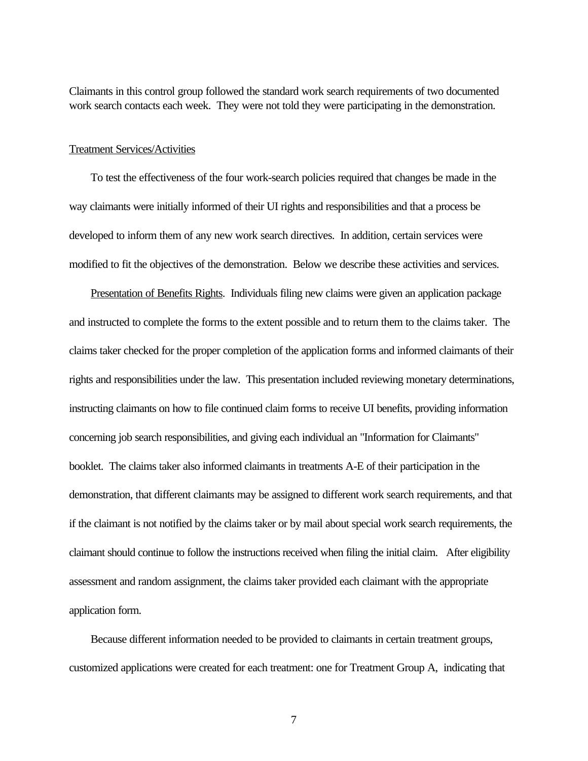Claimants in this control group followed the standard work search requirements of two documented work search contacts each week. They were not told they were participating in the demonstration.

# Treatment Services/Activities

To test the effectiveness of the four work-search policies required that changes be made in the way claimants were initially informed of their UI rights and responsibilities and that a process be developed to inform them of any new work search directives. In addition, certain services were modified to fit the objectives of the demonstration. Below we describe these activities and services.

Presentation of Benefits Rights. Individuals filing new claims were given an application package and instructed to complete the forms to the extent possible and to return them to the claims taker. The claims taker checked for the proper completion of the application forms and informed claimants of their rights and responsibilities under the law. This presentation included reviewing monetary determinations, instructing claimants on how to file continued claim forms to receive UI benefits, providing information concerning job search responsibilities, and giving each individual an "Information for Claimants" booklet. The claims taker also informed claimants in treatments A-E of their participation in the demonstration, that different claimants may be assigned to different work search requirements, and that if the claimant is not notified by the claims taker or by mail about special work search requirements, the claimant should continue to follow the instructions received when filing the initial claim. After eligibility assessment and random assignment, the claims taker provided each claimant with the appropriate application form.

Because different information needed to be provided to claimants in certain treatment groups, customized applications were created for each treatment: one for Treatment Group A, indicating that

7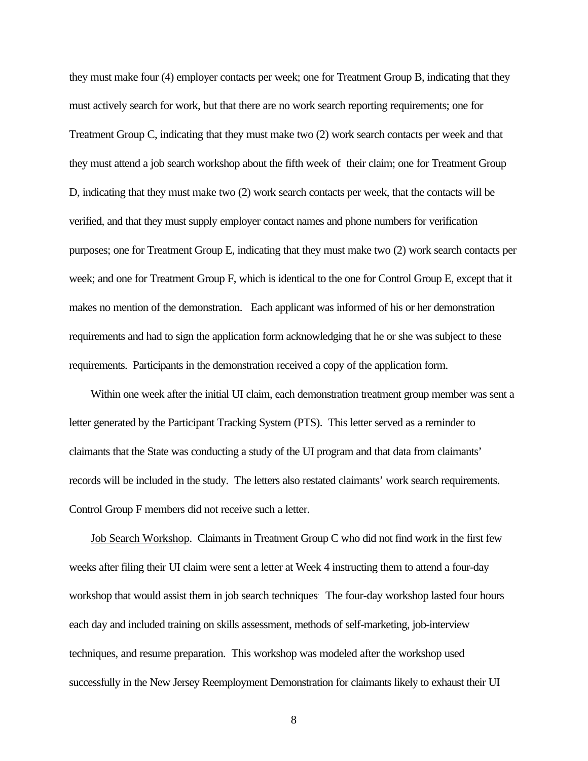they must make four (4) employer contacts per week; one for Treatment Group B, indicating that they must actively search for work, but that there are no work search reporting requirements; one for Treatment Group C, indicating that they must make two (2) work search contacts per week and that they must attend a job search workshop about the fifth week of their claim; one for Treatment Group D, indicating that they must make two (2) work search contacts per week, that the contacts will be verified, and that they must supply employer contact names and phone numbers for verification purposes; one for Treatment Group E, indicating that they must make two (2) work search contacts per week; and one for Treatment Group F, which is identical to the one for Control Group E, except that it makes no mention of the demonstration. Each applicant was informed of his or her demonstration requirements and had to sign the application form acknowledging that he or she was subject to these requirements. Participants in the demonstration received a copy of the application form.

Within one week after the initial UI claim, each demonstration treatment group member was sent a letter generated by the Participant Tracking System (PTS). This letter served as a reminder to claimants that the State was conducting a study of the UI program and that data from claimants' records will be included in the study. The letters also restated claimants' work search requirements. Control Group F members did not receive such a letter.

Job Search Workshop. Claimants in Treatment Group C who did not find work in the first few weeks after filing their UI claim were sent a letter at Week 4 instructing them to attend a four-day workshop that would assist them in job search techniques<sup>.</sup> The four-day workshop lasted four hours each day and included training on skills assessment, methods of self-marketing, job-interview techniques, and resume preparation. This workshop was modeled after the workshop used successfully in the New Jersey Reemployment Demonstration for claimants likely to exhaust their UI

8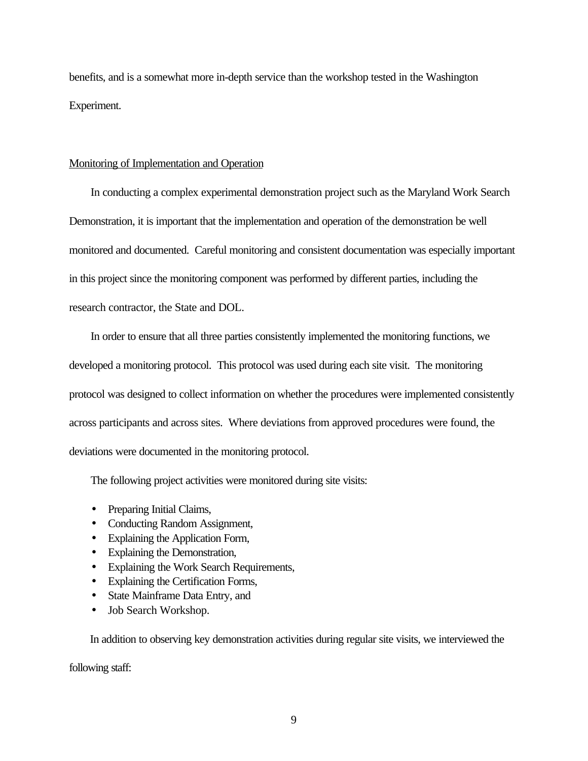benefits, and is a somewhat more in-depth service than the workshop tested in the Washington Experiment.

## Monitoring of Implementation and Operation

In conducting a complex experimental demonstration project such as the Maryland Work Search Demonstration, it is important that the implementation and operation of the demonstration be well monitored and documented. Careful monitoring and consistent documentation was especially important in this project since the monitoring component was performed by different parties, including the research contractor, the State and DOL.

In order to ensure that all three parties consistently implemented the monitoring functions, we developed a monitoring protocol. This protocol was used during each site visit. The monitoring protocol was designed to collect information on whether the procedures were implemented consistently across participants and across sites. Where deviations from approved procedures were found, the deviations were documented in the monitoring protocol.

The following project activities were monitored during site visits:

- Preparing Initial Claims,
- Conducting Random Assignment,
- Explaining the Application Form,
- Explaining the Demonstration,
- Explaining the Work Search Requirements,
- Explaining the Certification Forms,
- State Mainframe Data Entry, and
- Job Search Workshop.

In addition to observing key demonstration activities during regular site visits, we interviewed the

following staff: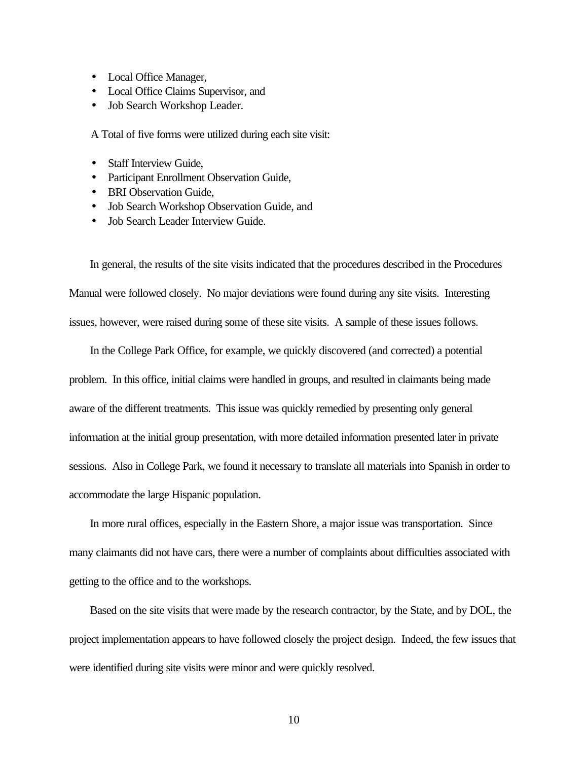- Local Office Manager,
- Local Office Claims Supervisor, and
- Job Search Workshop Leader.

A Total of five forms were utilized during each site visit:

- Staff Interview Guide,
- Participant Enrollment Observation Guide,
- BRI Observation Guide,
- Job Search Workshop Observation Guide, and
- Job Search Leader Interview Guide.

In general, the results of the site visits indicated that the procedures described in the Procedures Manual were followed closely. No major deviations were found during any site visits. Interesting issues, however, were raised during some of these site visits. A sample of these issues follows.

In the College Park Office, for example, we quickly discovered (and corrected) a potential problem. In this office, initial claims were handled in groups, and resulted in claimants being made aware of the different treatments. This issue was quickly remedied by presenting only general information at the initial group presentation, with more detailed information presented later in private sessions. Also in College Park, we found it necessary to translate all materials into Spanish in order to accommodate the large Hispanic population.

In more rural offices, especially in the Eastern Shore, a major issue was transportation. Since many claimants did not have cars, there were a number of complaints about difficulties associated with getting to the office and to the workshops.

Based on the site visits that were made by the research contractor, by the State, and by DOL, the project implementation appears to have followed closely the project design. Indeed, the few issues that were identified during site visits were minor and were quickly resolved.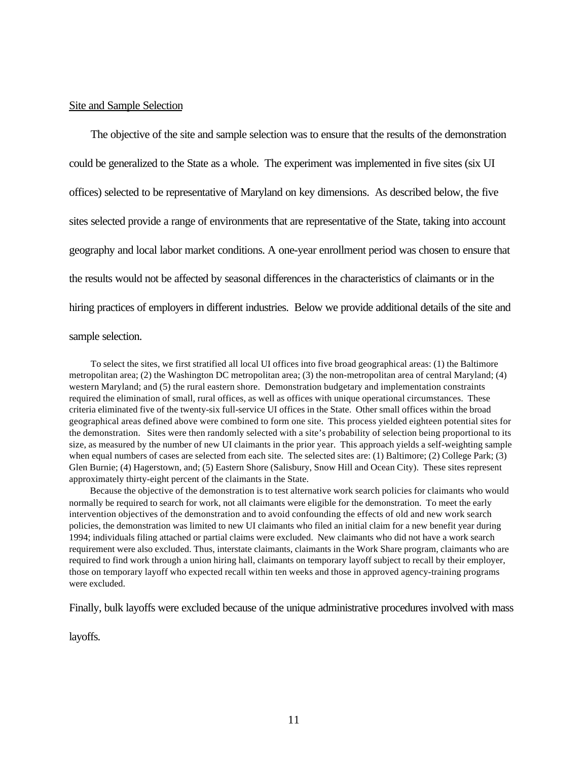# Site and Sample Selection

The objective of the site and sample selection was to ensure that the results of the demonstration could be generalized to the State as a whole. The experiment was implemented in five sites (six UI offices) selected to be representative of Maryland on key dimensions. As described below, the five sites selected provide a range of environments that are representative of the State, taking into account geography and local labor market conditions. A one-year enrollment period was chosen to ensure that the results would not be affected by seasonal differences in the characteristics of claimants or in the hiring practices of employers in different industries. Below we provide additional details of the site and

# sample selection.

To select the sites, we first stratified all local UI offices into five broad geographical areas: (1) the Baltimore metropolitan area; (2) the Washington DC metropolitan area; (3) the non-metropolitan area of central Maryland; (4) western Maryland; and (5) the rural eastern shore. Demonstration budgetary and implementation constraints required the elimination of small, rural offices, as well as offices with unique operational circumstances. These criteria eliminated five of the twenty-six full-service UI offices in the State. Other small offices within the broad geographical areas defined above were combined to form one site. This process yielded eighteen potential sites for the demonstration. Sites were then randomly selected with a site's probability of selection being proportional to its size, as measured by the number of new UI claimants in the prior year. This approach yields a self-weighting sample when equal numbers of cases are selected from each site. The selected sites are: (1) Baltimore; (2) College Park; (3) Glen Burnie; (4) Hagerstown, and; (5) Eastern Shore (Salisbury, Snow Hill and Ocean City). These sites represent approximately thirty-eight percent of the claimants in the State.

Because the objective of the demonstration is to test alternative work search policies for claimants who would normally be required to search for work, not all claimants were eligible for the demonstration. To meet the early intervention objectives of the demonstration and to avoid confounding the effects of old and new work search policies, the demonstration was limited to new UI claimants who filed an initial claim for a new benefit year during 1994; individuals filing attached or partial claims were excluded. New claimants who did not have a work search requirement were also excluded. Thus, interstate claimants, claimants in the Work Share program, claimants who are required to find work through a union hiring hall, claimants on temporary layoff subject to recall by their employer, those on temporary layoff who expected recall within ten weeks and those in approved agency-training programs were excluded.

Finally, bulk layoffs were excluded because of the unique administrative procedures involved with mass

layoffs.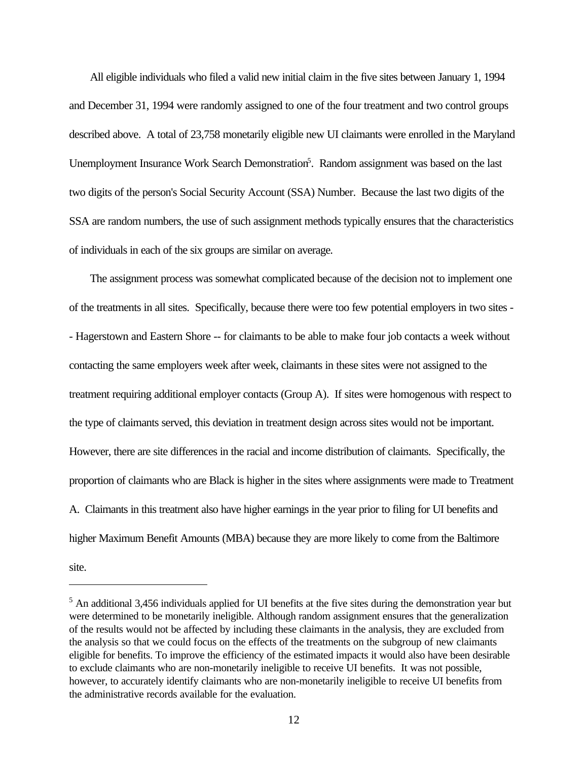All eligible individuals who filed a valid new initial claim in the five sites between January 1, 1994 and December 31, 1994 were randomly assigned to one of the four treatment and two control groups described above. A total of 23,758 monetarily eligible new UI claimants were enrolled in the Maryland Unemployment Insurance Work Search Demonstration<sup>5</sup>. Random assignment was based on the last two digits of the person's Social Security Account (SSA) Number. Because the last two digits of the SSA are random numbers, the use of such assignment methods typically ensures that the characteristics of individuals in each of the six groups are similar on average.

The assignment process was somewhat complicated because of the decision not to implement one of the treatments in all sites. Specifically, because there were too few potential employers in two sites - - Hagerstown and Eastern Shore -- for claimants to be able to make four job contacts a week without contacting the same employers week after week, claimants in these sites were not assigned to the treatment requiring additional employer contacts (Group A). If sites were homogenous with respect to the type of claimants served, this deviation in treatment design across sites would not be important. However, there are site differences in the racial and income distribution of claimants. Specifically, the proportion of claimants who are Black is higher in the sites where assignments were made to Treatment A. Claimants in this treatment also have higher earnings in the year prior to filing for UI benefits and higher Maximum Benefit Amounts (MBA) because they are more likely to come from the Baltimore site.

<sup>5</sup> An additional 3,456 individuals applied for UI benefits at the five sites during the demonstration year but were determined to be monetarily ineligible. Although random assignment ensures that the generalization of the results would not be affected by including these claimants in the analysis, they are excluded from the analysis so that we could focus on the effects of the treatments on the subgroup of new claimants eligible for benefits. To improve the efficiency of the estimated impacts it would also have been desirable to exclude claimants who are non-monetarily ineligible to receive UI benefits. It was not possible, however, to accurately identify claimants who are non-monetarily ineligible to receive UI benefits from the administrative records available for the evaluation.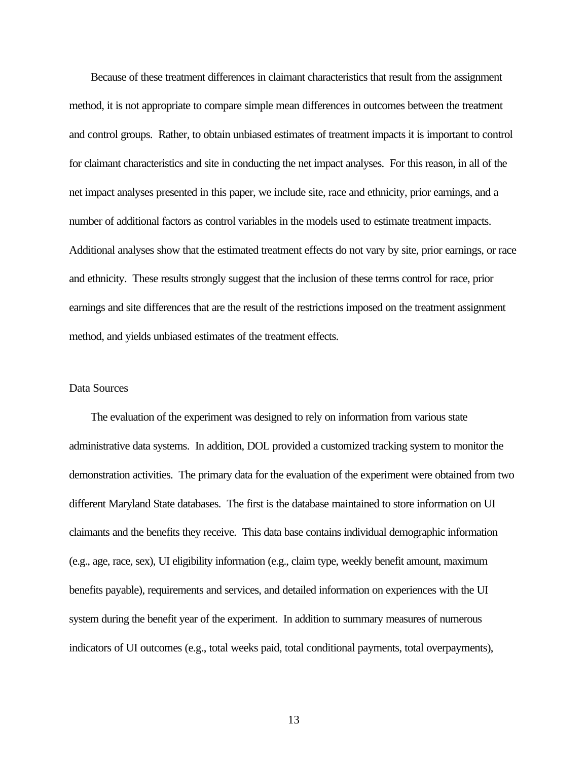Because of these treatment differences in claimant characteristics that result from the assignment method, it is not appropriate to compare simple mean differences in outcomes between the treatment and control groups. Rather, to obtain unbiased estimates of treatment impacts it is important to control for claimant characteristics and site in conducting the net impact analyses. For this reason, in all of the net impact analyses presented in this paper, we include site, race and ethnicity, prior earnings, and a number of additional factors as control variables in the models used to estimate treatment impacts. Additional analyses show that the estimated treatment effects do not vary by site, prior earnings, or race and ethnicity. These results strongly suggest that the inclusion of these terms control for race, prior earnings and site differences that are the result of the restrictions imposed on the treatment assignment method, and yields unbiased estimates of the treatment effects.

# Data Sources

The evaluation of the experiment was designed to rely on information from various state administrative data systems. In addition, DOL provided a customized tracking system to monitor the demonstration activities. The primary data for the evaluation of the experiment were obtained from two different Maryland State databases. The first is the database maintained to store information on UI claimants and the benefits they receive. This data base contains individual demographic information (e.g., age, race, sex), UI eligibility information (e.g., claim type, weekly benefit amount, maximum benefits payable), requirements and services, and detailed information on experiences with the UI system during the benefit year of the experiment. In addition to summary measures of numerous indicators of UI outcomes (e.g., total weeks paid, total conditional payments, total overpayments),

13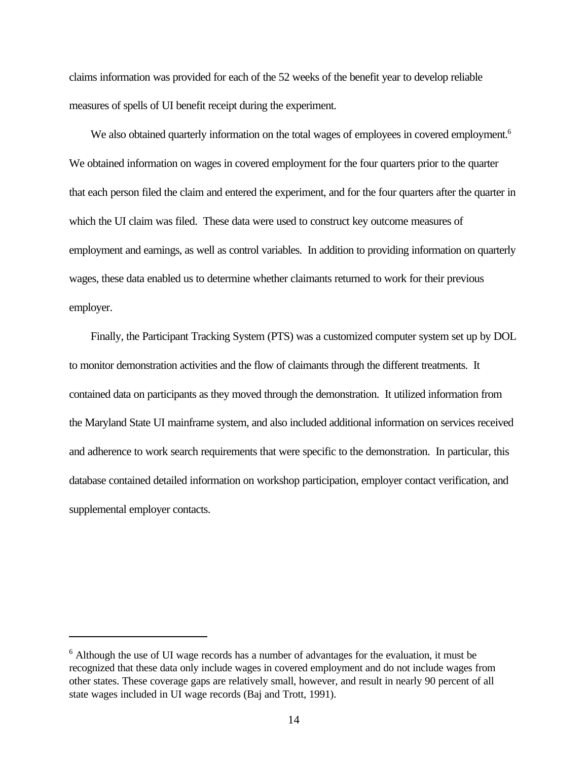claims information was provided for each of the 52 weeks of the benefit year to develop reliable measures of spells of UI benefit receipt during the experiment.

We also obtained quarterly information on the total wages of employees in covered employment.<sup>6</sup> We obtained information on wages in covered employment for the four quarters prior to the quarter that each person filed the claim and entered the experiment, and for the four quarters after the quarter in which the UI claim was filed. These data were used to construct key outcome measures of employment and earnings, as well as control variables. In addition to providing information on quarterly wages, these data enabled us to determine whether claimants returned to work for their previous employer.

Finally, the Participant Tracking System (PTS) was a customized computer system set up by DOL to monitor demonstration activities and the flow of claimants through the different treatments. It contained data on participants as they moved through the demonstration. It utilized information from the Maryland State UI mainframe system, and also included additional information on services received and adherence to work search requirements that were specific to the demonstration. In particular, this database contained detailed information on workshop participation, employer contact verification, and supplemental employer contacts.

<sup>&</sup>lt;sup>6</sup> Although the use of UI wage records has a number of advantages for the evaluation, it must be recognized that these data only include wages in covered employment and do not include wages from other states. These coverage gaps are relatively small, however, and result in nearly 90 percent of all state wages included in UI wage records (Baj and Trott, 1991).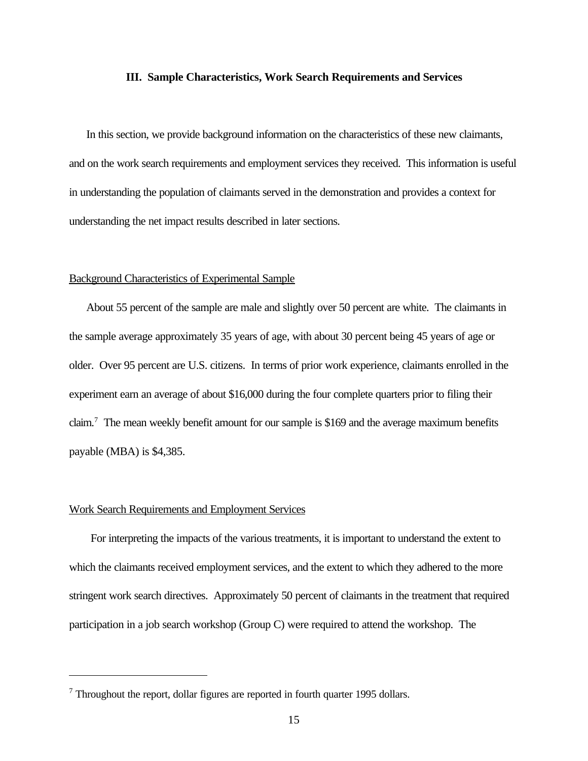#### **III. Sample Characteristics, Work Search Requirements and Services**

In this section, we provide background information on the characteristics of these new claimants, and on the work search requirements and employment services they received. This information is useful in understanding the population of claimants served in the demonstration and provides a context for understanding the net impact results described in later sections.

#### Background Characteristics of Experimental Sample

About 55 percent of the sample are male and slightly over 50 percent are white. The claimants in the sample average approximately 35 years of age, with about 30 percent being 45 years of age or older. Over 95 percent are U.S. citizens. In terms of prior work experience, claimants enrolled in the experiment earn an average of about \$16,000 during the four complete quarters prior to filing their claim.<sup>7</sup> The mean weekly benefit amount for our sample is \$169 and the average maximum benefits payable (MBA) is \$4,385.

## Work Search Requirements and Employment Services

For interpreting the impacts of the various treatments, it is important to understand the extent to which the claimants received employment services, and the extent to which they adhered to the more stringent work search directives. Approximately 50 percent of claimants in the treatment that required participation in a job search workshop (Group C) were required to attend the workshop. The

<sup>7</sup> Throughout the report, dollar figures are reported in fourth quarter 1995 dollars.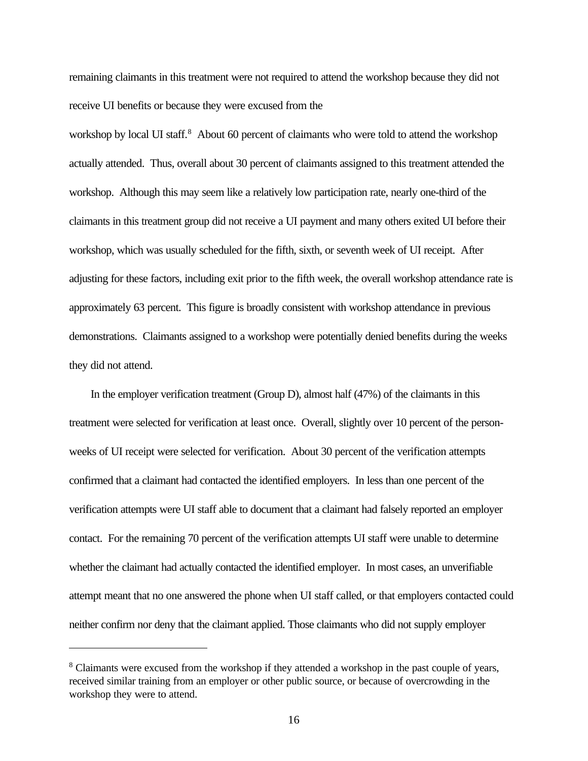remaining claimants in this treatment were not required to attend the workshop because they did not receive UI benefits or because they were excused from the

workshop by local UI staff.<sup>8</sup> About 60 percent of claimants who were told to attend the workshop actually attended. Thus, overall about 30 percent of claimants assigned to this treatment attended the workshop. Although this may seem like a relatively low participation rate, nearly one-third of the claimants in this treatment group did not receive a UI payment and many others exited UI before their workshop, which was usually scheduled for the fifth, sixth, or seventh week of UI receipt. After adjusting for these factors, including exit prior to the fifth week, the overall workshop attendance rate is approximately 63 percent. This figure is broadly consistent with workshop attendance in previous demonstrations. Claimants assigned to a workshop were potentially denied benefits during the weeks they did not attend.

In the employer verification treatment (Group D), almost half (47%) of the claimants in this treatment were selected for verification at least once. Overall, slightly over 10 percent of the personweeks of UI receipt were selected for verification. About 30 percent of the verification attempts confirmed that a claimant had contacted the identified employers. In less than one percent of the verification attempts were UI staff able to document that a claimant had falsely reported an employer contact. For the remaining 70 percent of the verification attempts UI staff were unable to determine whether the claimant had actually contacted the identified employer. In most cases, an unverifiable attempt meant that no one answered the phone when UI staff called, or that employers contacted could neither confirm nor deny that the claimant applied. Those claimants who did not supply employer

<sup>&</sup>lt;sup>8</sup> Claimants were excused from the workshop if they attended a workshop in the past couple of years, received similar training from an employer or other public source, or because of overcrowding in the workshop they were to attend.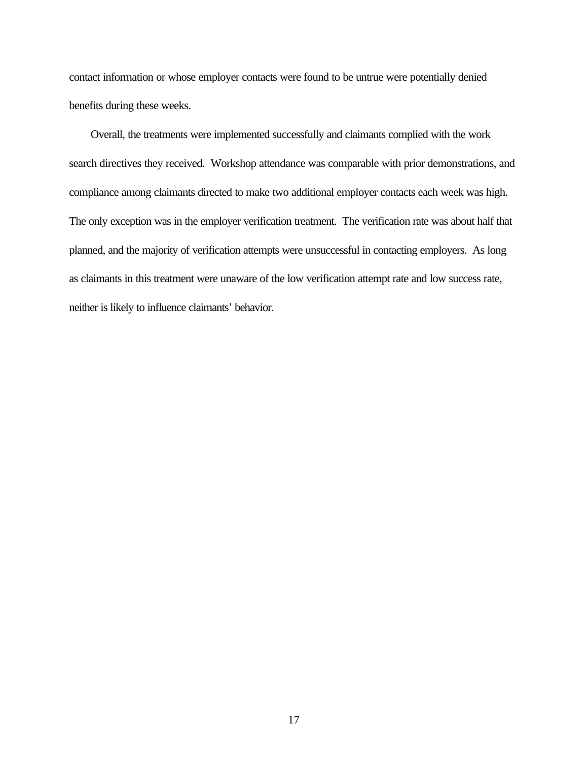contact information or whose employer contacts were found to be untrue were potentially denied benefits during these weeks.

Overall, the treatments were implemented successfully and claimants complied with the work search directives they received. Workshop attendance was comparable with prior demonstrations, and compliance among claimants directed to make two additional employer contacts each week was high. The only exception was in the employer verification treatment. The verification rate was about half that planned, and the majority of verification attempts were unsuccessful in contacting employers. As long as claimants in this treatment were unaware of the low verification attempt rate and low success rate, neither is likely to influence claimants' behavior.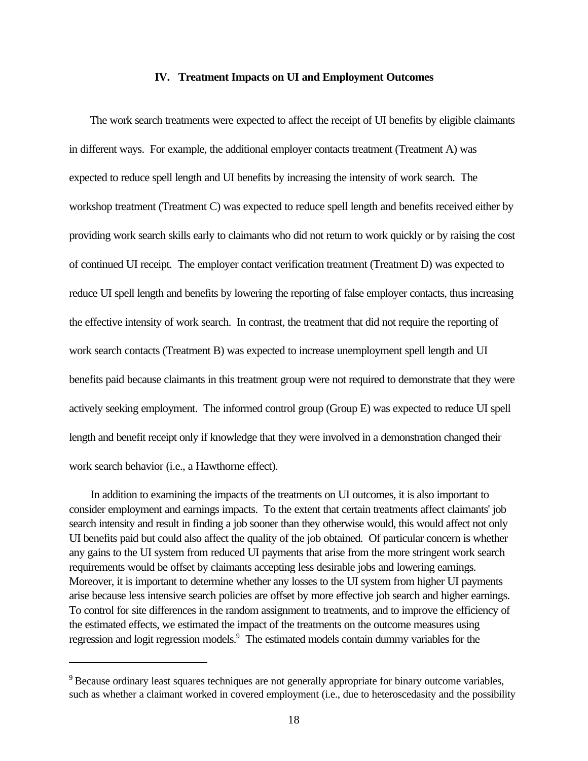#### **IV. Treatment Impacts on UI and Employment Outcomes**

The work search treatments were expected to affect the receipt of UI benefits by eligible claimants in different ways. For example, the additional employer contacts treatment (Treatment A) was expected to reduce spell length and UI benefits by increasing the intensity of work search. The workshop treatment (Treatment C) was expected to reduce spell length and benefits received either by providing work search skills early to claimants who did not return to work quickly or by raising the cost of continued UI receipt. The employer contact verification treatment (Treatment D) was expected to reduce UI spell length and benefits by lowering the reporting of false employer contacts, thus increasing the effective intensity of work search. In contrast, the treatment that did not require the reporting of work search contacts (Treatment B) was expected to increase unemployment spell length and UI benefits paid because claimants in this treatment group were not required to demonstrate that they were actively seeking employment. The informed control group (Group E) was expected to reduce UI spell length and benefit receipt only if knowledge that they were involved in a demonstration changed their work search behavior (i.e., a Hawthorne effect).

In addition to examining the impacts of the treatments on UI outcomes, it is also important to consider employment and earnings impacts. To the extent that certain treatments affect claimants' job search intensity and result in finding a job sooner than they otherwise would, this would affect not only UI benefits paid but could also affect the quality of the job obtained. Of particular concern is whether any gains to the UI system from reduced UI payments that arise from the more stringent work search requirements would be offset by claimants accepting less desirable jobs and lowering earnings. Moreover, it is important to determine whether any losses to the UI system from higher UI payments arise because less intensive search policies are offset by more effective job search and higher earnings. To control for site differences in the random assignment to treatments, and to improve the efficiency of the estimated effects, we estimated the impact of the treatments on the outcome measures using regression and logit regression models.<sup>9</sup> The estimated models contain dummy variables for the

<sup>&</sup>lt;sup>9</sup> Because ordinary least squares techniques are not generally appropriate for binary outcome variables, such as whether a claimant worked in covered employment (i.e., due to heteroscedasity and the possibility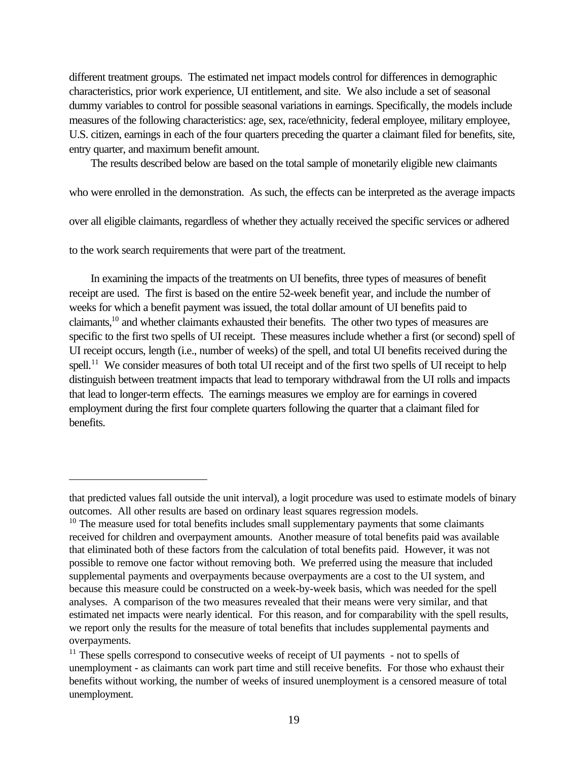different treatment groups. The estimated net impact models control for differences in demographic characteristics, prior work experience, UI entitlement, and site. We also include a set of seasonal dummy variables to control for possible seasonal variations in earnings. Specifically, the models include measures of the following characteristics: age, sex, race/ethnicity, federal employee, military employee, U.S. citizen, earnings in each of the four quarters preceding the quarter a claimant filed for benefits, site, entry quarter, and maximum benefit amount.

The results described below are based on the total sample of monetarily eligible new claimants

who were enrolled in the demonstration. As such, the effects can be interpreted as the average impacts

over all eligible claimants, regardless of whether they actually received the specific services or adhered

to the work search requirements that were part of the treatment.

In examining the impacts of the treatments on UI benefits, three types of measures of benefit receipt are used. The first is based on the entire 52-week benefit year, and include the number of weeks for which a benefit payment was issued, the total dollar amount of UI benefits paid to claimants,<sup>10</sup> and whether claimants exhausted their benefits. The other two types of measures are specific to the first two spells of UI receipt. These measures include whether a first (or second) spell of UI receipt occurs, length (i.e., number of weeks) of the spell, and total UI benefits received during the spell.<sup>11</sup> We consider measures of both total UI receipt and of the first two spells of UI receipt to help distinguish between treatment impacts that lead to temporary withdrawal from the UI rolls and impacts that lead to longer-term effects. The earnings measures we employ are for earnings in covered employment during the first four complete quarters following the quarter that a claimant filed for benefits.

that predicted values fall outside the unit interval), a logit procedure was used to estimate models of binary outcomes. All other results are based on ordinary least squares regression models.

 $10$  The measure used for total benefits includes small supplementary payments that some claimants received for children and overpayment amounts. Another measure of total benefits paid was available that eliminated both of these factors from the calculation of total benefits paid. However, it was not possible to remove one factor without removing both. We preferred using the measure that included supplemental payments and overpayments because overpayments are a cost to the UI system, and because this measure could be constructed on a week-by-week basis, which was needed for the spell analyses. A comparison of the two measures revealed that their means were very similar, and that estimated net impacts were nearly identical. For this reason, and for comparability with the spell results, we report only the results for the measure of total benefits that includes supplemental payments and overpayments.

<sup>&</sup>lt;sup>11</sup> These spells correspond to consecutive weeks of receipt of UI payments - not to spells of unemployment - as claimants can work part time and still receive benefits. For those who exhaust their benefits without working, the number of weeks of insured unemployment is a censored measure of total unemployment.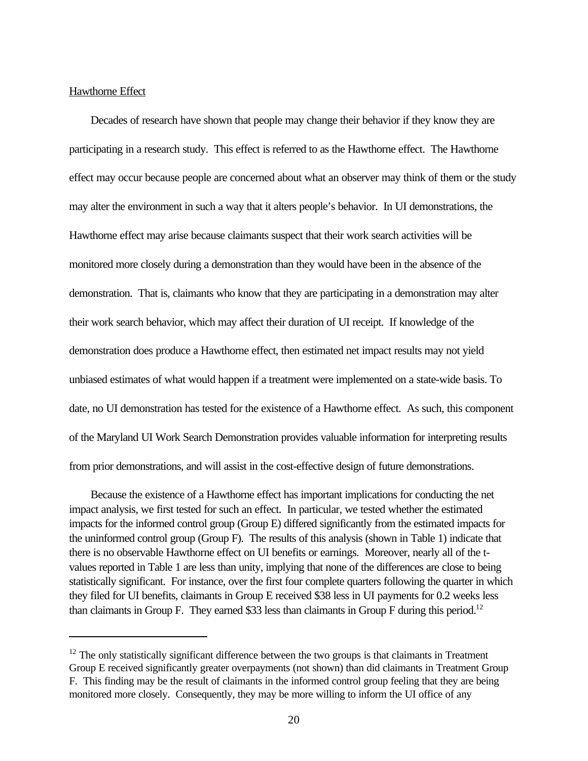## Hawthorne Effect

Decades of research have shown that people may change their behavior if they know they are participating in a research study. This effect is referred to as the Hawthorne effect. The Hawthorne effect may occur because people are concerned about what an observer may think of them or the study may alter the environment in such a way that it alters people's behavior. In UI demonstrations, the Hawthorne effect may arise because claimants suspect that their work search activities will be monitored more closely during a demonstration than they would have been in the absence of the demonstration. That is, claimants who know that they are participating in a demonstration may alter their work search behavior, which may affect their duration of UI receipt. If knowledge of the demonstration does produce a Hawthorne effect, then estimated net impact results may not yield unbiased estimates of what would happen if a treatment were implemented on a state-wide basis. To date, no UI demonstration has tested for the existence of a Hawthorne effect. As such, this component of the Maryland UI Work Search Demonstration provides valuable information for interpreting results from prior demonstrations, and will assist in the cost-effective design of future demonstrations.

Because the existence of a Hawthorne effect has important implications for conducting the net impact analysis, we first tested for such an effect. In particular, we tested whether the estimated impacts for the informed control group (Group E) differed significantly from the estimated impacts for the uninformed control group (Group F). The results of this analysis (shown in Table 1) indicate that there is no observable Hawthorne effect on UI benefits or earnings. Moreover, nearly all of the tvalues reported in Table 1 are less than unity, implying that none of the differences are close to being statistically significant. For instance, over the first four complete quarters following the quarter in which they filed for UI benefits, claimants in Group E received \$38 less in UI payments for 0.2 weeks less than claimants in Group F. They earned \$33 less than claimants in Group F during this period.<sup>12</sup>

 $12$  The only statistically significant difference between the two groups is that claimants in Treatment Group E received significantly greater overpayments (not shown) than did claimants in Treatment Group F. This finding may be the result of claimants in the informed control group feeling that they are being monitored more closely. Consequently, they may be more willing to inform the UI office of any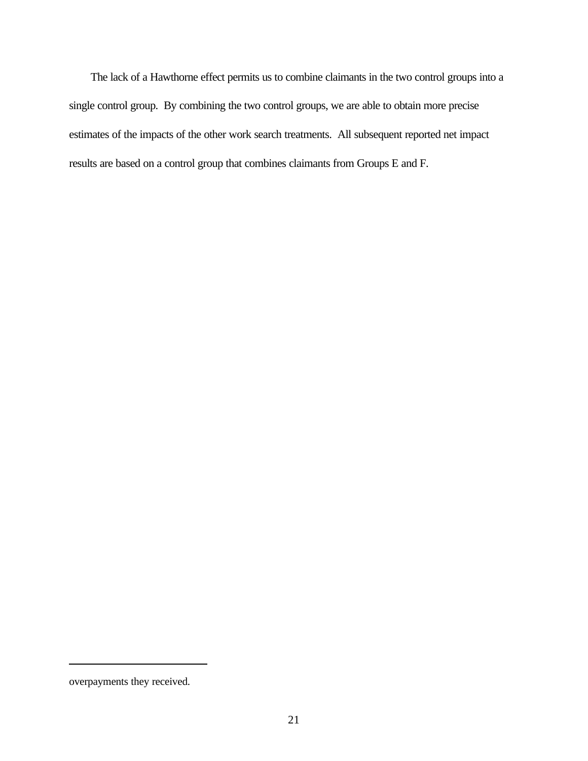The lack of a Hawthorne effect permits us to combine claimants in the two control groups into a single control group. By combining the two control groups, we are able to obtain more precise estimates of the impacts of the other work search treatments. All subsequent reported net impact results are based on a control group that combines claimants from Groups E and F.

overpayments they received.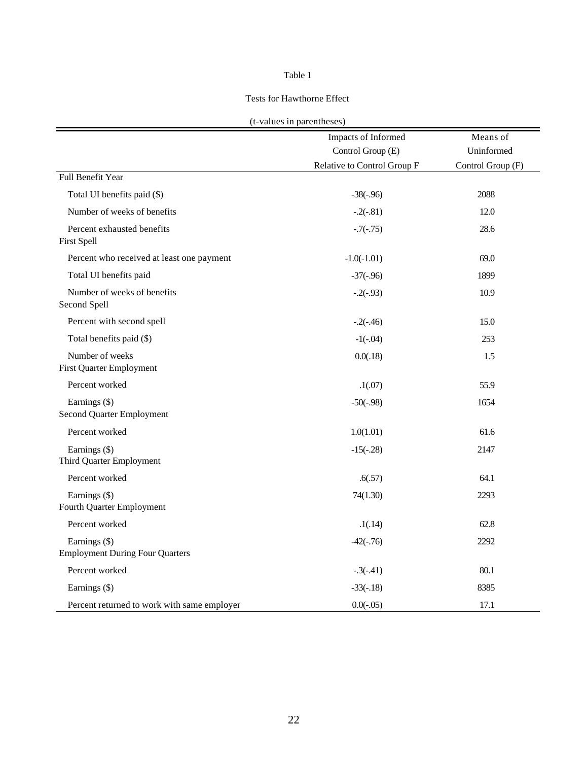# Table 1

#### Tests for Hawthorne Effect

|  |  |  |  | (t-values in parentheses) |
|--|--|--|--|---------------------------|
|--|--|--|--|---------------------------|

|                                                         | Impacts of Informed         | Means of          |
|---------------------------------------------------------|-----------------------------|-------------------|
|                                                         | Control Group (E)           | Uninformed        |
|                                                         | Relative to Control Group F | Control Group (F) |
| Full Benefit Year                                       |                             |                   |
| Total UI benefits paid (\$)                             | $-38(-.96)$                 | 2088              |
| Number of weeks of benefits                             | $-.2(-.81)$                 | 12.0              |
| Percent exhausted benefits<br>First Spell               | $-.7(-.75)$                 | 28.6              |
| Percent who received at least one payment               | $-1.0(-1.01)$               | 69.0              |
| Total UI benefits paid                                  | $-37(-.96)$                 | 1899              |
| Number of weeks of benefits<br>Second Spell             | $-.2(-.93)$                 | 10.9              |
| Percent with second spell                               | $-2(-.46)$                  | 15.0              |
| Total benefits paid (\$)                                | $-1(-.04)$                  | 253               |
| Number of weeks<br>First Quarter Employment             | 0.0(0.18)                   | 1.5               |
| Percent worked                                          | .1(07)                      | 55.9              |
| Earnings (\$)<br>Second Quarter Employment              | $-50(-.98)$                 | 1654              |
| Percent worked                                          | 1.0(1.01)                   | 61.6              |
| Earnings (\$)<br>Third Quarter Employment               | $-15(-.28)$                 | 2147              |
| Percent worked                                          | .6(.57)                     | 64.1              |
| Earnings (\$)<br>Fourth Quarter Employment              | 74(1.30)                    | 2293              |
| Percent worked                                          | .1(.14)                     | 62.8              |
| Earnings (\$)<br><b>Employment During Four Quarters</b> | $-42(-.76)$                 | 2292              |
| Percent worked                                          | $-.3(-.41)$                 | 80.1              |
| Earnings (\$)                                           | $-33(-.18)$                 | 8385              |
| Percent returned to work with same employer             | $0.0(-0.05)$                | 17.1              |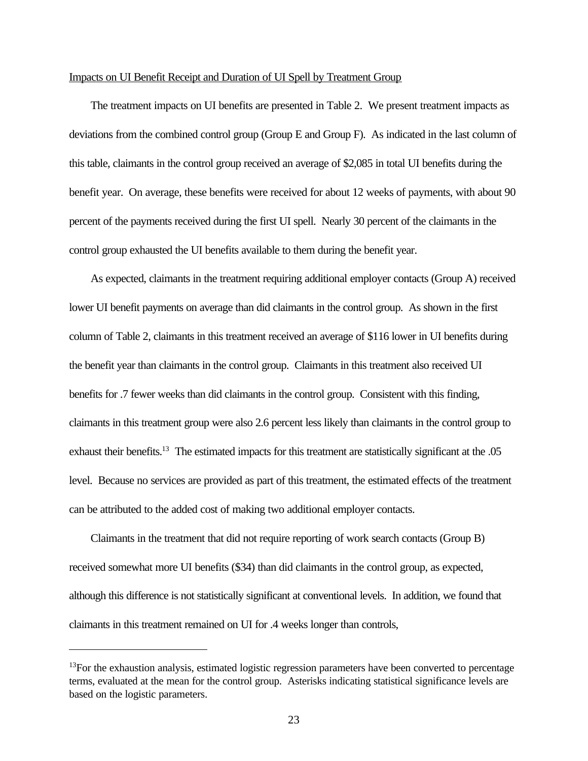#### Impacts on UI Benefit Receipt and Duration of UI Spell by Treatment Group

The treatment impacts on UI benefits are presented in Table 2. We present treatment impacts as deviations from the combined control group (Group E and Group F). As indicated in the last column of this table, claimants in the control group received an average of \$2,085 in total UI benefits during the benefit year. On average, these benefits were received for about 12 weeks of payments, with about 90 percent of the payments received during the first UI spell. Nearly 30 percent of the claimants in the control group exhausted the UI benefits available to them during the benefit year.

As expected, claimants in the treatment requiring additional employer contacts (Group A) received lower UI benefit payments on average than did claimants in the control group. As shown in the first column of Table 2, claimants in this treatment received an average of \$116 lower in UI benefits during the benefit year than claimants in the control group. Claimants in this treatment also received UI benefits for .7 fewer weeks than did claimants in the control group. Consistent with this finding, claimants in this treatment group were also 2.6 percent less likely than claimants in the control group to exhaust their benefits.<sup>13</sup> The estimated impacts for this treatment are statistically significant at the .05 level. Because no services are provided as part of this treatment, the estimated effects of the treatment can be attributed to the added cost of making two additional employer contacts.

Claimants in the treatment that did not require reporting of work search contacts (Group B) received somewhat more UI benefits (\$34) than did claimants in the control group, as expected, although this difference is not statistically significant at conventional levels. In addition, we found that claimants in this treatment remained on UI for .4 weeks longer than controls,

 $13$ For the exhaustion analysis, estimated logistic regression parameters have been converted to percentage terms, evaluated at the mean for the control group. Asterisks indicating statistical significance levels are based on the logistic parameters.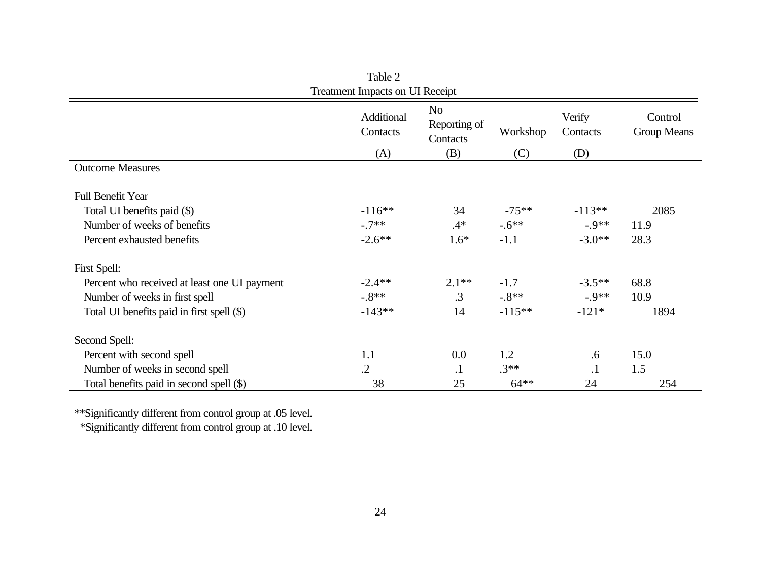| Treatment Impacts on UI Receipt              |                        |                                            |          |                    |                        |
|----------------------------------------------|------------------------|--------------------------------------------|----------|--------------------|------------------------|
|                                              | Additional<br>Contacts | N <sub>o</sub><br>Reporting of<br>Contacts | Workshop | Verify<br>Contacts | Control<br>Group Means |
|                                              | (A)                    | (B)                                        | (C)      | (D)                |                        |
| <b>Outcome Measures</b>                      |                        |                                            |          |                    |                        |
| <b>Full Benefit Year</b>                     |                        |                                            |          |                    |                        |
| Total UI benefits paid (\$)                  | $-116**$               | 34                                         | $-75**$  | $-113**$           | 2085                   |
| Number of weeks of benefits                  | $-.7**$                | $.4*$                                      | $-.6$ ** | $-9**$             | 11.9                   |
| Percent exhausted benefits                   | $-2.6**$               | $1.6*$                                     | $-1.1$   | $-3.0**$           | 28.3                   |
| First Spell:                                 |                        |                                            |          |                    |                        |
| Percent who received at least one UI payment | $-2.4**$               | $2.1**$                                    | $-1.7$   | $-3.5**$           | 68.8                   |
| Number of weeks in first spell               | $-8**$                 | $\cdot$ 3                                  | $-8**$   | $-9**$             | 10.9                   |
| Total UI benefits paid in first spell (\$)   | $-143**$               | 14                                         | $-115**$ | $-121*$            | 1894                   |
| Second Spell:                                |                        |                                            |          |                    |                        |
| Percent with second spell                    | 1.1                    | 0.0                                        | 1.2      | .6                 | 15.0                   |
| Number of weeks in second spell              | $\cdot$                | $\cdot$                                    | $.3**$   | $\cdot$ 1          | 1.5                    |
| Total benefits paid in second spell (\$)     | 38                     | 25                                         | $64**$   | 24                 | 254                    |

Table 2 Treatment Impacts on UI Receipt

\*\*Significantly different from control group at .05 level.

\*Significantly different from control group at .10 level.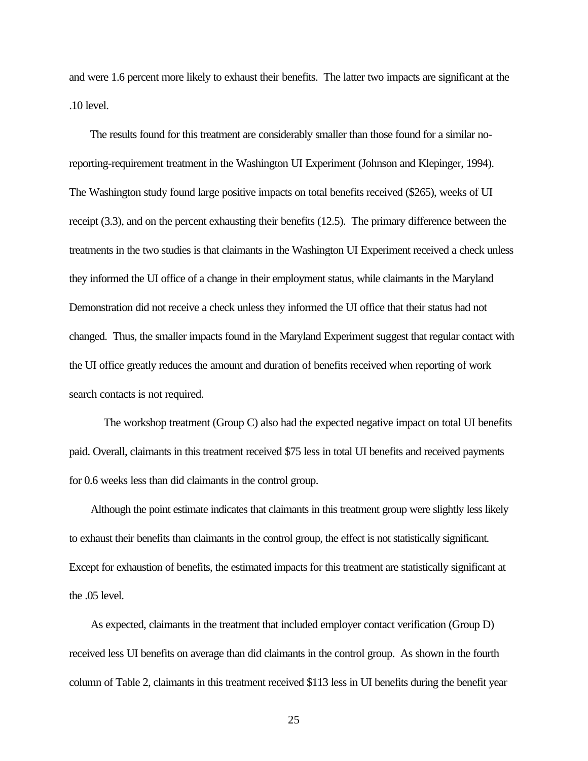and were 1.6 percent more likely to exhaust their benefits. The latter two impacts are significant at the .10 level.

The results found for this treatment are considerably smaller than those found for a similar noreporting-requirement treatment in the Washington UI Experiment (Johnson and Klepinger, 1994). The Washington study found large positive impacts on total benefits received (\$265), weeks of UI receipt (3.3), and on the percent exhausting their benefits (12.5). The primary difference between the treatments in the two studies is that claimants in the Washington UI Experiment received a check unless they informed the UI office of a change in their employment status, while claimants in the Maryland Demonstration did not receive a check unless they informed the UI office that their status had not changed. Thus, the smaller impacts found in the Maryland Experiment suggest that regular contact with the UI office greatly reduces the amount and duration of benefits received when reporting of work search contacts is not required.

The workshop treatment (Group C) also had the expected negative impact on total UI benefits paid. Overall, claimants in this treatment received \$75 less in total UI benefits and received payments for 0.6 weeks less than did claimants in the control group.

Although the point estimate indicates that claimants in this treatment group were slightly less likely to exhaust their benefits than claimants in the control group, the effect is not statistically significant. Except for exhaustion of benefits, the estimated impacts for this treatment are statistically significant at the .05 level.

As expected, claimants in the treatment that included employer contact verification (Group D) received less UI benefits on average than did claimants in the control group. As shown in the fourth column of Table 2, claimants in this treatment received \$113 less in UI benefits during the benefit year

25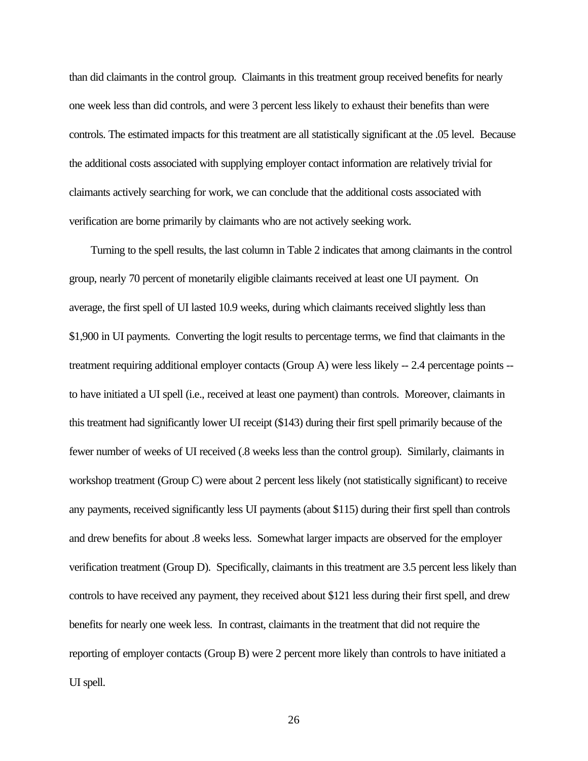than did claimants in the control group. Claimants in this treatment group received benefits for nearly one week less than did controls, and were 3 percent less likely to exhaust their benefits than were controls. The estimated impacts for this treatment are all statistically significant at the .05 level. Because the additional costs associated with supplying employer contact information are relatively trivial for claimants actively searching for work, we can conclude that the additional costs associated with verification are borne primarily by claimants who are not actively seeking work.

Turning to the spell results, the last column in Table 2 indicates that among claimants in the control group, nearly 70 percent of monetarily eligible claimants received at least one UI payment. On average, the first spell of UI lasted 10.9 weeks, during which claimants received slightly less than \$1,900 in UI payments. Converting the logit results to percentage terms, we find that claimants in the treatment requiring additional employer contacts (Group A) were less likely -- 2.4 percentage points - to have initiated a UI spell (i.e., received at least one payment) than controls. Moreover, claimants in this treatment had significantly lower UI receipt (\$143) during their first spell primarily because of the fewer number of weeks of UI received (.8 weeks less than the control group). Similarly, claimants in workshop treatment (Group C) were about 2 percent less likely (not statistically significant) to receive any payments, received significantly less UI payments (about \$115) during their first spell than controls and drew benefits for about .8 weeks less. Somewhat larger impacts are observed for the employer verification treatment (Group D). Specifically, claimants in this treatment are 3.5 percent less likely than controls to have received any payment, they received about \$121 less during their first spell, and drew benefits for nearly one week less. In contrast, claimants in the treatment that did not require the reporting of employer contacts (Group B) were 2 percent more likely than controls to have initiated a UI spell.

26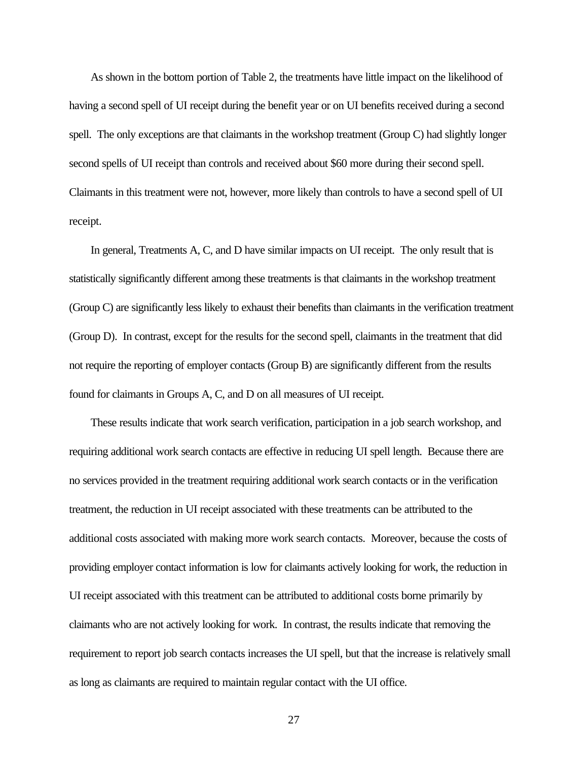As shown in the bottom portion of Table 2, the treatments have little impact on the likelihood of having a second spell of UI receipt during the benefit year or on UI benefits received during a second spell. The only exceptions are that claimants in the workshop treatment (Group C) had slightly longer second spells of UI receipt than controls and received about \$60 more during their second spell. Claimants in this treatment were not, however, more likely than controls to have a second spell of UI receipt.

In general, Treatments A, C, and D have similar impacts on UI receipt. The only result that is statistically significantly different among these treatments is that claimants in the workshop treatment (Group C) are significantly less likely to exhaust their benefits than claimants in the verification treatment (Group D). In contrast, except for the results for the second spell, claimants in the treatment that did not require the reporting of employer contacts (Group B) are significantly different from the results found for claimants in Groups A, C, and D on all measures of UI receipt.

These results indicate that work search verification, participation in a job search workshop, and requiring additional work search contacts are effective in reducing UI spell length. Because there are no services provided in the treatment requiring additional work search contacts or in the verification treatment, the reduction in UI receipt associated with these treatments can be attributed to the additional costs associated with making more work search contacts. Moreover, because the costs of providing employer contact information is low for claimants actively looking for work, the reduction in UI receipt associated with this treatment can be attributed to additional costs borne primarily by claimants who are not actively looking for work. In contrast, the results indicate that removing the requirement to report job search contacts increases the UI spell, but that the increase is relatively small as long as claimants are required to maintain regular contact with the UI office.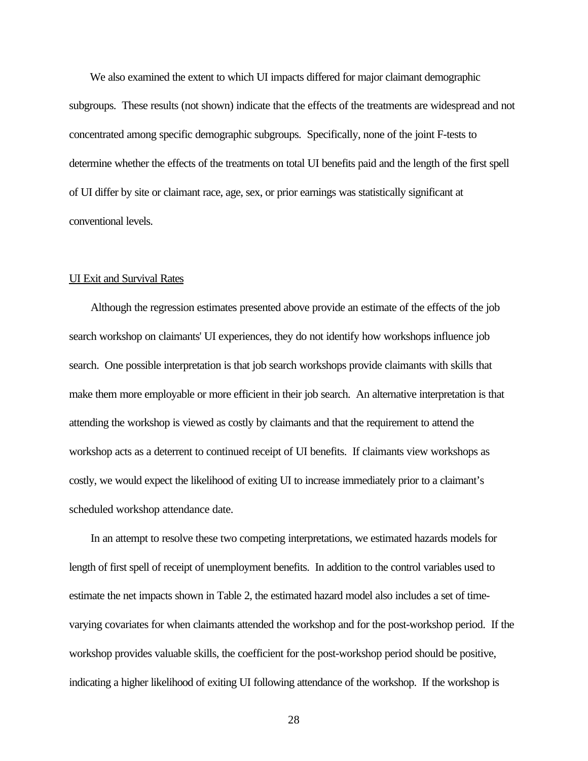We also examined the extent to which UI impacts differed for major claimant demographic subgroups. These results (not shown) indicate that the effects of the treatments are widespread and not concentrated among specific demographic subgroups. Specifically, none of the joint F-tests to determine whether the effects of the treatments on total UI benefits paid and the length of the first spell of UI differ by site or claimant race, age, sex, or prior earnings was statistically significant at conventional levels.

#### UI Exit and Survival Rates

Although the regression estimates presented above provide an estimate of the effects of the job search workshop on claimants' UI experiences, they do not identify how workshops influence job search. One possible interpretation is that job search workshops provide claimants with skills that make them more employable or more efficient in their job search. An alternative interpretation is that attending the workshop is viewed as costly by claimants and that the requirement to attend the workshop acts as a deterrent to continued receipt of UI benefits. If claimants view workshops as costly, we would expect the likelihood of exiting UI to increase immediately prior to a claimant's scheduled workshop attendance date.

In an attempt to resolve these two competing interpretations, we estimated hazards models for length of first spell of receipt of unemployment benefits. In addition to the control variables used to estimate the net impacts shown in Table 2, the estimated hazard model also includes a set of timevarying covariates for when claimants attended the workshop and for the post-workshop period. If the workshop provides valuable skills, the coefficient for the post-workshop period should be positive, indicating a higher likelihood of exiting UI following attendance of the workshop. If the workshop is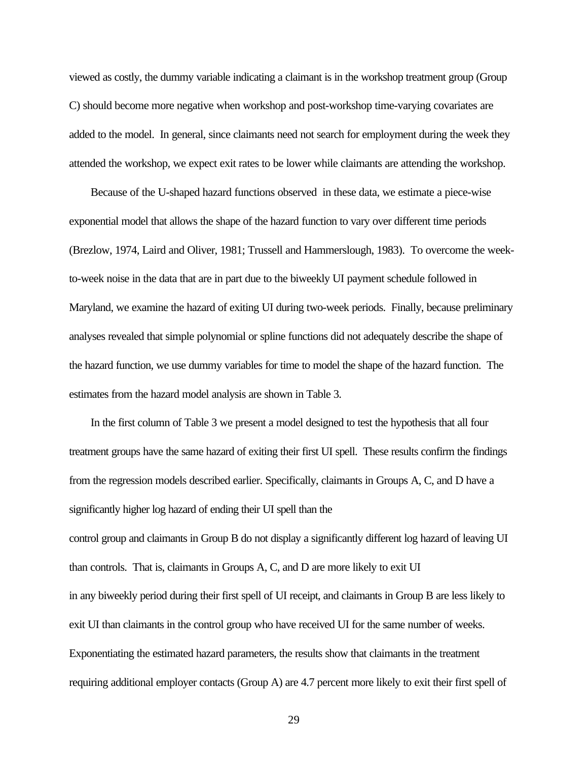viewed as costly, the dummy variable indicating a claimant is in the workshop treatment group (Group C) should become more negative when workshop and post-workshop time-varying covariates are added to the model. In general, since claimants need not search for employment during the week they attended the workshop, we expect exit rates to be lower while claimants are attending the workshop.

Because of the U-shaped hazard functions observed in these data, we estimate a piece-wise exponential model that allows the shape of the hazard function to vary over different time periods (Brezlow, 1974, Laird and Oliver, 1981; Trussell and Hammerslough, 1983). To overcome the weekto-week noise in the data that are in part due to the biweekly UI payment schedule followed in Maryland, we examine the hazard of exiting UI during two-week periods. Finally, because preliminary analyses revealed that simple polynomial or spline functions did not adequately describe the shape of the hazard function, we use dummy variables for time to model the shape of the hazard function. The estimates from the hazard model analysis are shown in Table 3.

In the first column of Table 3 we present a model designed to test the hypothesis that all four treatment groups have the same hazard of exiting their first UI spell. These results confirm the findings from the regression models described earlier. Specifically, claimants in Groups A, C, and D have a significantly higher log hazard of ending their UI spell than the

control group and claimants in Group B do not display a significantly different log hazard of leaving UI than controls. That is, claimants in Groups A, C, and D are more likely to exit UI in any biweekly period during their first spell of UI receipt, and claimants in Group B are less likely to exit UI than claimants in the control group who have received UI for the same number of weeks. Exponentiating the estimated hazard parameters, the results show that claimants in the treatment requiring additional employer contacts (Group A) are 4.7 percent more likely to exit their first spell of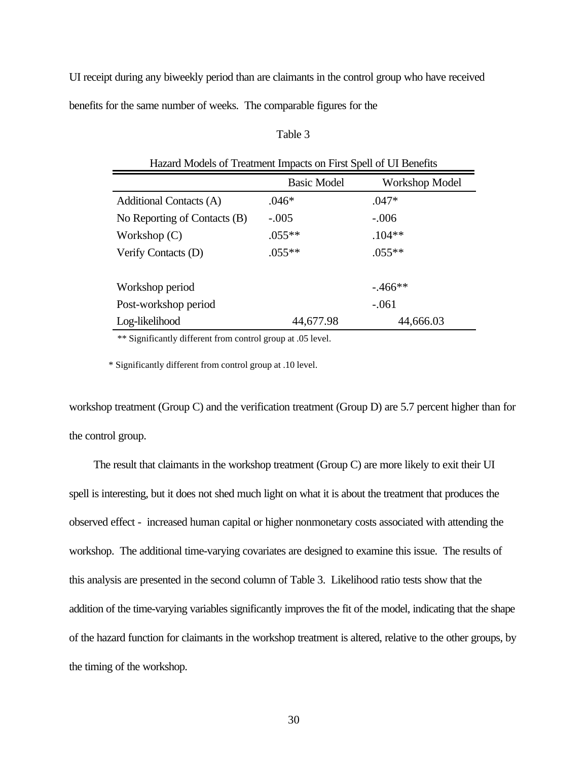UI receipt during any biweekly period than are claimants in the control group who have received

benefits for the same number of weeks. The comparable figures for the

# Table 3

| Hazard Models of Treatment Impacts on First Spell of UI Benefits |                    |                |  |  |  |  |  |
|------------------------------------------------------------------|--------------------|----------------|--|--|--|--|--|
|                                                                  | <b>Basic Model</b> | Workshop Model |  |  |  |  |  |
| Additional Contacts (A)                                          | $.046*$            | $.047*$        |  |  |  |  |  |
| No Reporting of Contacts (B)                                     | $-.005$            | $-.006$        |  |  |  |  |  |
| Workshop $(C)$                                                   | $.055**$           | $.104**$       |  |  |  |  |  |
| Verify Contacts (D)                                              | $.055**$           | $.055**$       |  |  |  |  |  |
|                                                                  |                    |                |  |  |  |  |  |
| Workshop period                                                  |                    | $-0.466**$     |  |  |  |  |  |
| Post-workshop period                                             |                    | $-.061$        |  |  |  |  |  |
| Log-likelihood                                                   | 44,677.98          | 44,666.03      |  |  |  |  |  |

\*\* Significantly different from control group at .05 level.

\* Significantly different from control group at .10 level.

workshop treatment (Group C) and the verification treatment (Group D) are 5.7 percent higher than for the control group.

 The result that claimants in the workshop treatment (Group C) are more likely to exit their UI spell is interesting, but it does not shed much light on what it is about the treatment that produces the observed effect - increased human capital or higher nonmonetary costs associated with attending the workshop. The additional time-varying covariates are designed to examine this issue. The results of this analysis are presented in the second column of Table 3. Likelihood ratio tests show that the addition of the time-varying variables significantly improves the fit of the model, indicating that the shape of the hazard function for claimants in the workshop treatment is altered, relative to the other groups, by the timing of the workshop.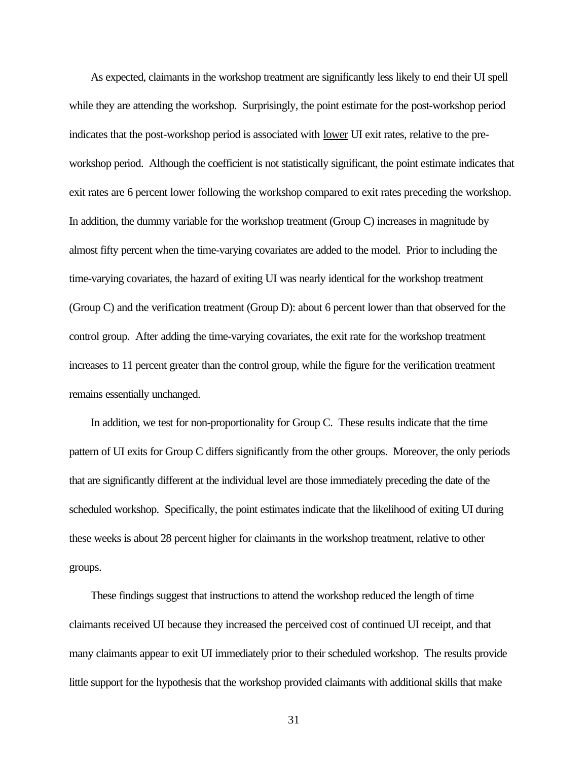As expected, claimants in the workshop treatment are significantly less likely to end their UI spell while they are attending the workshop. Surprisingly, the point estimate for the post-workshop period indicates that the post-workshop period is associated with <u>lower</u> UI exit rates, relative to the preworkshop period. Although the coefficient is not statistically significant, the point estimate indicates that exit rates are 6 percent lower following the workshop compared to exit rates preceding the workshop. In addition, the dummy variable for the workshop treatment (Group C) increases in magnitude by almost fifty percent when the time-varying covariates are added to the model. Prior to including the time-varying covariates, the hazard of exiting UI was nearly identical for the workshop treatment (Group C) and the verification treatment (Group D): about 6 percent lower than that observed for the control group. After adding the time-varying covariates, the exit rate for the workshop treatment increases to 11 percent greater than the control group, while the figure for the verification treatment remains essentially unchanged.

In addition, we test for non-proportionality for Group C. These results indicate that the time pattern of UI exits for Group C differs significantly from the other groups. Moreover, the only periods that are significantly different at the individual level are those immediately preceding the date of the scheduled workshop. Specifically, the point estimates indicate that the likelihood of exiting UI during these weeks is about 28 percent higher for claimants in the workshop treatment, relative to other groups.

These findings suggest that instructions to attend the workshop reduced the length of time claimants received UI because they increased the perceived cost of continued UI receipt, and that many claimants appear to exit UI immediately prior to their scheduled workshop. The results provide little support for the hypothesis that the workshop provided claimants with additional skills that make

31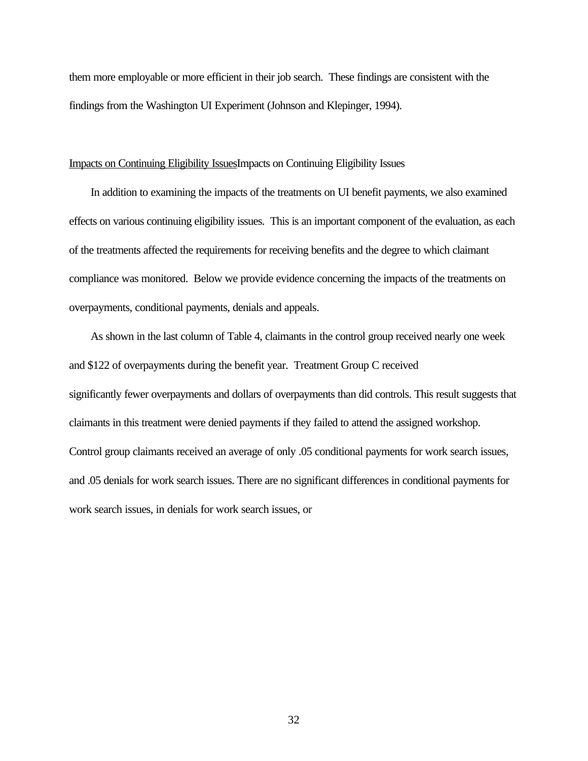them more employable or more efficient in their job search. These findings are consistent with the findings from the Washington UI Experiment (Johnson and Klepinger, 1994).

# Impacts on Continuing Eligibility IssuesImpacts on Continuing Eligibility Issues

In addition to examining the impacts of the treatments on UI benefit payments, we also examined effects on various continuing eligibility issues. This is an important component of the evaluation, as each of the treatments affected the requirements for receiving benefits and the degree to which claimant compliance was monitored. Below we provide evidence concerning the impacts of the treatments on overpayments, conditional payments, denials and appeals.

As shown in the last column of Table 4, claimants in the control group received nearly one week and \$122 of overpayments during the benefit year. Treatment Group C received significantly fewer overpayments and dollars of overpayments than did controls. This result suggests that claimants in this treatment were denied payments if they failed to attend the assigned workshop. Control group claimants received an average of only .05 conditional payments for work search issues, and .05 denials for work search issues. There are no significant differences in conditional payments for work search issues, in denials for work search issues, or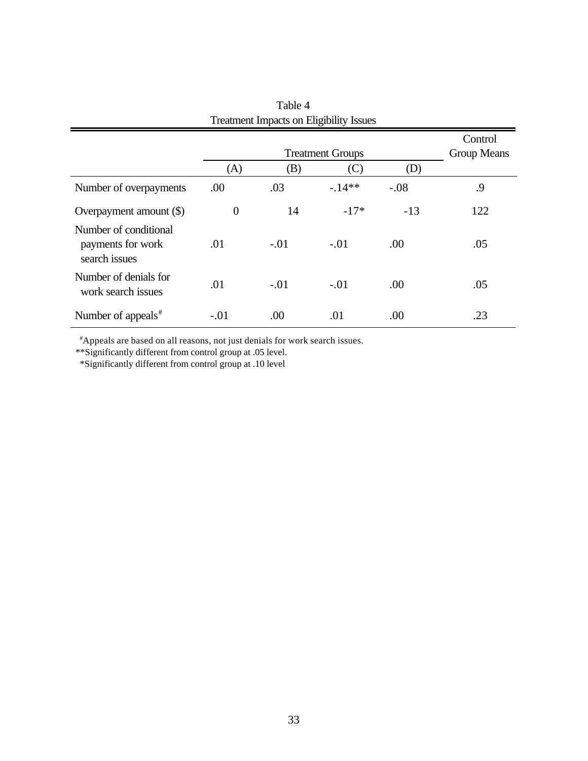|                                                             |                | <b>Treatment Groups</b> |         |        | Control<br>Group Means |
|-------------------------------------------------------------|----------------|-------------------------|---------|--------|------------------------|
|                                                             | (A)            | (B)                     | (C)     | (D)    |                        |
| Number of overpayments                                      | .00            | .03                     | $-14**$ | $-.08$ | .9                     |
| Overpayment amount (\$)                                     | $\overline{0}$ | 14                      | $-17*$  | $-13$  | 122                    |
| Number of conditional<br>payments for work<br>search issues | .01            | $-.01$                  | $-.01$  | .00    | .05                    |
| Number of denials for<br>work search issues                 | .01            | $-.01$                  | $-.01$  | .00    | .05                    |
| Number of appeals <sup>#</sup>                              | $-.01$         | .00                     | .01     | .00    | .23                    |

Table 4 Treatment Impacts on Eligibility Issues

#Appeals are based on all reasons, not just denials for work search issues.

\*\*Significantly different from control group at .05 level.

\*Significantly different from control group at .10 level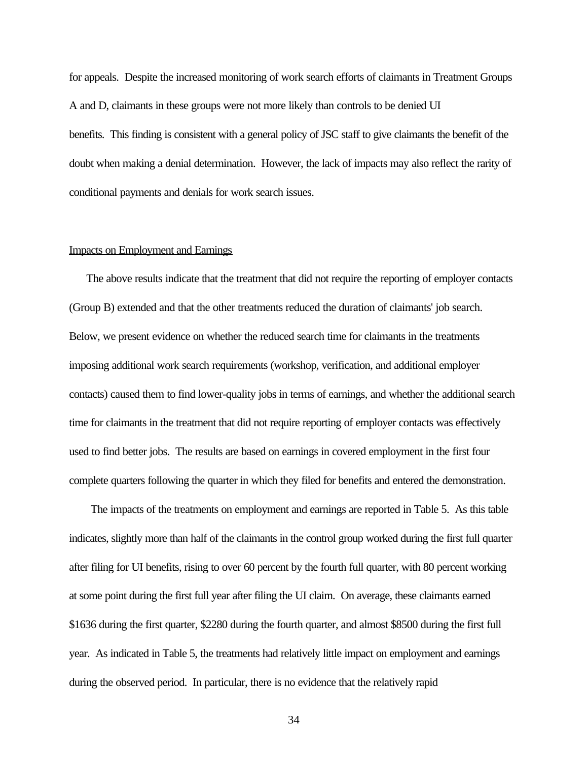for appeals. Despite the increased monitoring of work search efforts of claimants in Treatment Groups A and D, claimants in these groups were not more likely than controls to be denied UI benefits. This finding is consistent with a general policy of JSC staff to give claimants the benefit of the doubt when making a denial determination. However, the lack of impacts may also reflect the rarity of conditional payments and denials for work search issues.

# Impacts on Employment and Earnings

The above results indicate that the treatment that did not require the reporting of employer contacts (Group B) extended and that the other treatments reduced the duration of claimants' job search. Below, we present evidence on whether the reduced search time for claimants in the treatments imposing additional work search requirements (workshop, verification, and additional employer contacts) caused them to find lower-quality jobs in terms of earnings, and whether the additional search time for claimants in the treatment that did not require reporting of employer contacts was effectively used to find better jobs. The results are based on earnings in covered employment in the first four complete quarters following the quarter in which they filed for benefits and entered the demonstration.

The impacts of the treatments on employment and earnings are reported in Table 5. As this table indicates, slightly more than half of the claimants in the control group worked during the first full quarter after filing for UI benefits, rising to over 60 percent by the fourth full quarter, with 80 percent working at some point during the first full year after filing the UI claim. On average, these claimants earned \$1636 during the first quarter, \$2280 during the fourth quarter, and almost \$8500 during the first full year. As indicated in Table 5, the treatments had relatively little impact on employment and earnings during the observed period. In particular, there is no evidence that the relatively rapid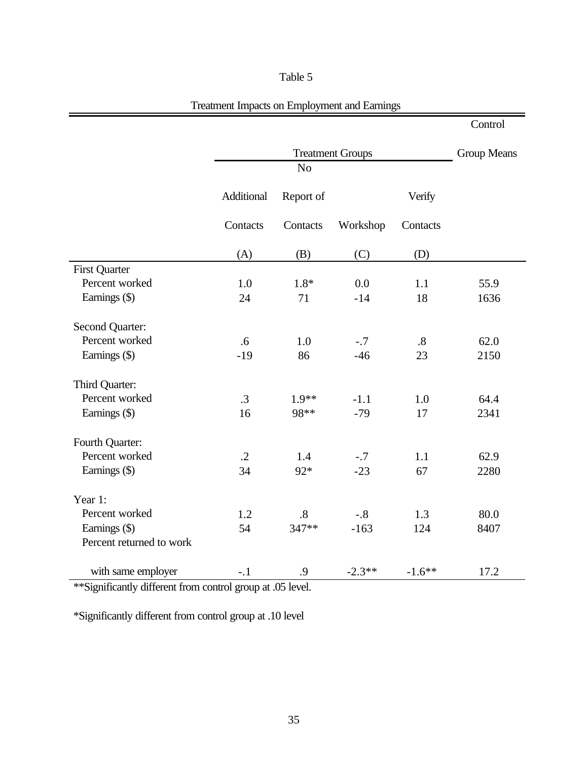# Table 5

ì

|                          |                         |                   |          |          | Control |
|--------------------------|-------------------------|-------------------|----------|----------|---------|
|                          | <b>Treatment Groups</b> |                   |          |          |         |
|                          |                         | No                |          |          |         |
|                          | Additional              | Report of         |          | Verify   |         |
|                          | Contacts                | Contacts          | Workshop | Contacts |         |
|                          | (A)                     | (B)               | (C)      | (D)      |         |
| <b>First Quarter</b>     |                         |                   |          |          |         |
| Percent worked           | 1.0                     | $1.8*$            | 0.0      | 1.1      | 55.9    |
| Earnings (\$)            | 24                      | 71                | $-14$    | 18       | 1636    |
| Second Quarter:          |                         |                   |          |          |         |
| Percent worked           | .6                      | 1.0               | $-.7$    | .8       | 62.0    |
| Earnings (\$)            | $-19$                   | 86                | $-46$    | 23       | 2150    |
| Third Quarter:           |                         |                   |          |          |         |
| Percent worked           | $\cdot$ 3               | $1.9**$           | $-1.1$   | 1.0      | 64.4    |
| Earnings (\$)            | 16                      | 98**              | $-79$    | 17       | 2341    |
| Fourth Quarter:          |                         |                   |          |          |         |
| Percent worked           | $\cdot$ .2              | 1.4               | $-.7$    | 1.1      | 62.9    |
| Earnings (\$)            | 34                      | 92*               | $-23$    | 67       | 2280    |
| Year 1:                  |                         |                   |          |          |         |
| Percent worked           | 1.2                     | $\boldsymbol{.8}$ | $-.8$    | 1.3      | 80.0    |
| Earnings (\$)            | 54                      | 347**             | $-163$   | 124      | 8407    |
| Percent returned to work |                         |                   |          |          |         |
| with same employer       | $-.1$                   | .9                | $-2.3**$ | $-1.6**$ | 17.2    |

\*\*Significantly different from control group at .05 level.

\*Significantly different from control group at .10 level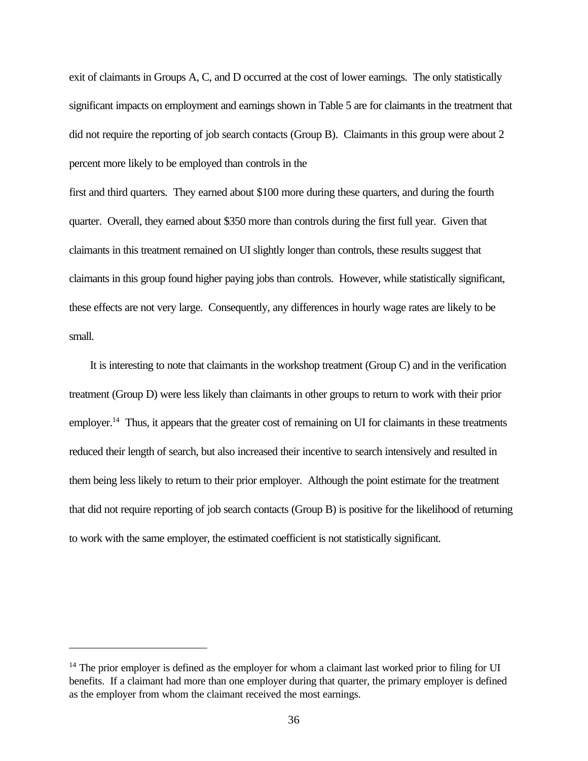exit of claimants in Groups A, C, and D occurred at the cost of lower earnings. The only statistically significant impacts on employment and earnings shown in Table 5 are for claimants in the treatment that did not require the reporting of job search contacts (Group B). Claimants in this group were about 2 percent more likely to be employed than controls in the

first and third quarters. They earned about \$100 more during these quarters, and during the fourth quarter. Overall, they earned about \$350 more than controls during the first full year. Given that claimants in this treatment remained on UI slightly longer than controls, these results suggest that claimants in this group found higher paying jobs than controls. However, while statistically significant, these effects are not very large. Consequently, any differences in hourly wage rates are likely to be small.

It is interesting to note that claimants in the workshop treatment (Group C) and in the verification treatment (Group D) were less likely than claimants in other groups to return to work with their prior employer.<sup>14</sup> Thus, it appears that the greater cost of remaining on UI for claimants in these treatments reduced their length of search, but also increased their incentive to search intensively and resulted in them being less likely to return to their prior employer. Although the point estimate for the treatment that did not require reporting of job search contacts (Group B) is positive for the likelihood of returning to work with the same employer, the estimated coefficient is not statistically significant.

 $14$  The prior employer is defined as the employer for whom a claimant last worked prior to filing for UI benefits. If a claimant had more than one employer during that quarter, the primary employer is defined as the employer from whom the claimant received the most earnings.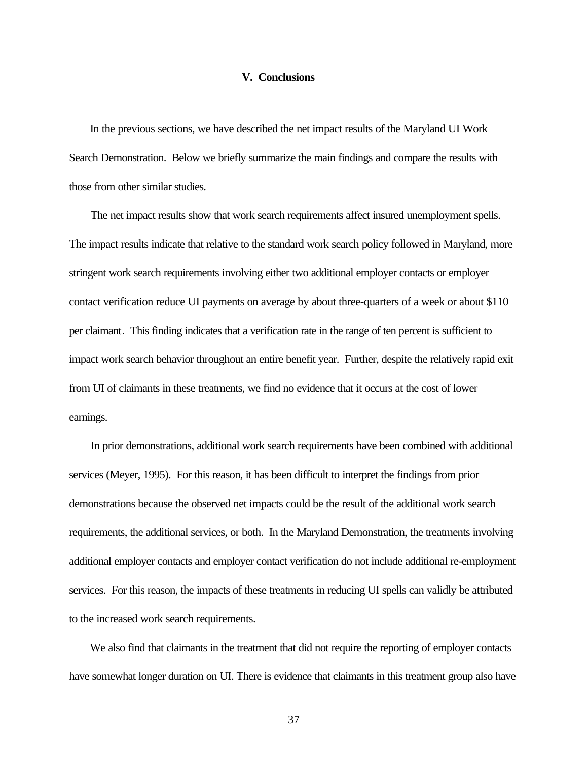#### **V. Conclusions**

In the previous sections, we have described the net impact results of the Maryland UI Work Search Demonstration. Below we briefly summarize the main findings and compare the results with those from other similar studies.

The net impact results show that work search requirements affect insured unemployment spells. The impact results indicate that relative to the standard work search policy followed in Maryland, more stringent work search requirements involving either two additional employer contacts or employer contact verification reduce UI payments on average by about three-quarters of a week or about \$110 per claimant. This finding indicates that a verification rate in the range of ten percent is sufficient to impact work search behavior throughout an entire benefit year. Further, despite the relatively rapid exit from UI of claimants in these treatments, we find no evidence that it occurs at the cost of lower earnings.

In prior demonstrations, additional work search requirements have been combined with additional services (Meyer, 1995). For this reason, it has been difficult to interpret the findings from prior demonstrations because the observed net impacts could be the result of the additional work search requirements, the additional services, or both. In the Maryland Demonstration, the treatments involving additional employer contacts and employer contact verification do not include additional re-employment services. For this reason, the impacts of these treatments in reducing UI spells can validly be attributed to the increased work search requirements.

We also find that claimants in the treatment that did not require the reporting of employer contacts have somewhat longer duration on UI. There is evidence that claimants in this treatment group also have

37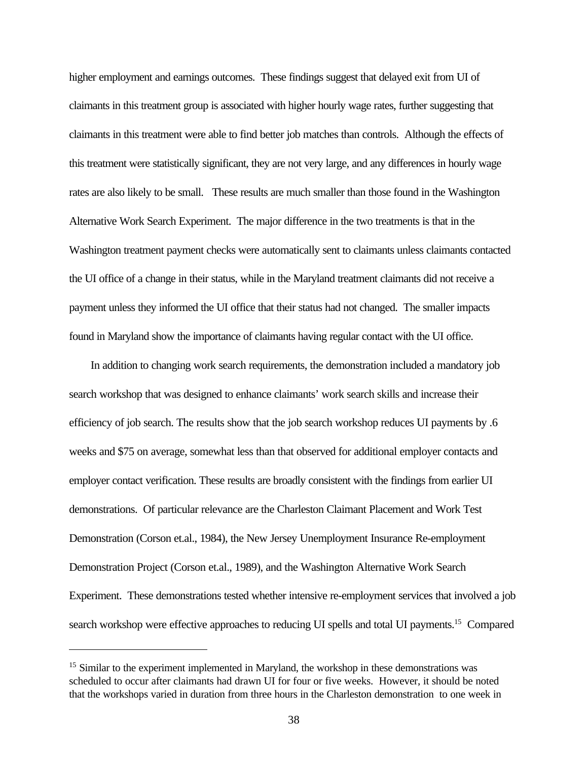higher employment and earnings outcomes. These findings suggest that delayed exit from UI of claimants in this treatment group is associated with higher hourly wage rates, further suggesting that claimants in this treatment were able to find better job matches than controls. Although the effects of this treatment were statistically significant, they are not very large, and any differences in hourly wage rates are also likely to be small. These results are much smaller than those found in the Washington Alternative Work Search Experiment. The major difference in the two treatments is that in the Washington treatment payment checks were automatically sent to claimants unless claimants contacted the UI office of a change in their status, while in the Maryland treatment claimants did not receive a payment unless they informed the UI office that their status had not changed. The smaller impacts found in Maryland show the importance of claimants having regular contact with the UI office.

In addition to changing work search requirements, the demonstration included a mandatory job search workshop that was designed to enhance claimants' work search skills and increase their efficiency of job search. The results show that the job search workshop reduces UI payments by .6 weeks and \$75 on average, somewhat less than that observed for additional employer contacts and employer contact verification. These results are broadly consistent with the findings from earlier UI demonstrations. Of particular relevance are the Charleston Claimant Placement and Work Test Demonstration (Corson et.al., 1984), the New Jersey Unemployment Insurance Re-employment Demonstration Project (Corson et.al., 1989), and the Washington Alternative Work Search Experiment. These demonstrations tested whether intensive re-employment services that involved a job search workshop were effective approaches to reducing UI spells and total UI payments.<sup>15</sup> Compared

<sup>&</sup>lt;sup>15</sup> Similar to the experiment implemented in Maryland, the workshop in these demonstrations was scheduled to occur after claimants had drawn UI for four or five weeks. However, it should be noted that the workshops varied in duration from three hours in the Charleston demonstration to one week in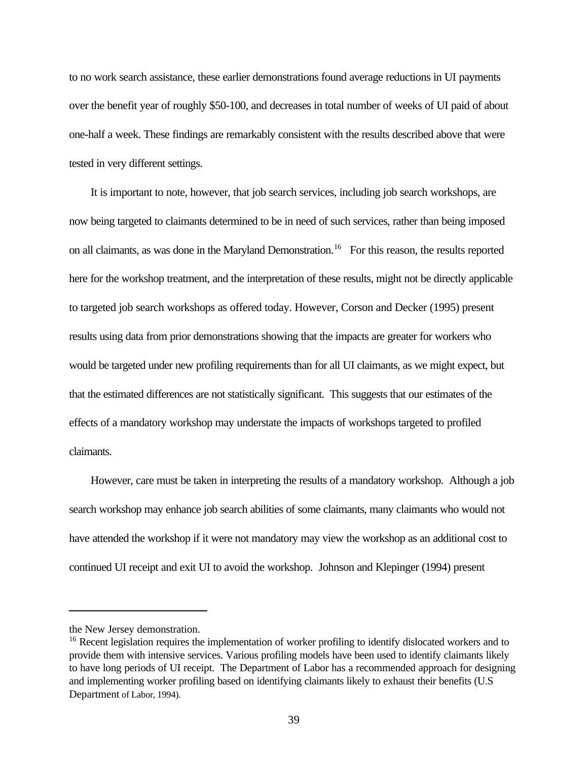to no work search assistance, these earlier demonstrations found average reductions in UI payments over the benefit year of roughly \$50-100, and decreases in total number of weeks of UI paid of about one-half a week. These findings are remarkably consistent with the results described above that were tested in very different settings.

It is important to note, however, that job search services, including job search workshops, are now being targeted to claimants determined to be in need of such services, rather than being imposed on all claimants, as was done in the Maryland Demonstration.<sup>16</sup> For this reason, the results reported here for the workshop treatment, and the interpretation of these results, might not be directly applicable to targeted job search workshops as offered today. However, Corson and Decker (1995) present results using data from prior demonstrations showing that the impacts are greater for workers who would be targeted under new profiling requirements than for all UI claimants, as we might expect, but that the estimated differences are not statistically significant. This suggests that our estimates of the effects of a mandatory workshop may understate the impacts of workshops targeted to profiled claimants.

However, care must be taken in interpreting the results of a mandatory workshop. Although a job search workshop may enhance job search abilities of some claimants, many claimants who would not have attended the workshop if it were not mandatory may view the workshop as an additional cost to continued UI receipt and exit UI to avoid the workshop. Johnson and Klepinger (1994) present

the New Jersey demonstration.

<sup>&</sup>lt;sup>16</sup> Recent legislation requires the implementation of worker profiling to identify dislocated workers and to provide them with intensive services. Various profiling models have been used to identify claimants likely to have long periods of UI receipt. The Department of Labor has a recommended approach for designing and implementing worker profiling based on identifying claimants likely to exhaust their benefits (U.S Department of Labor, 1994).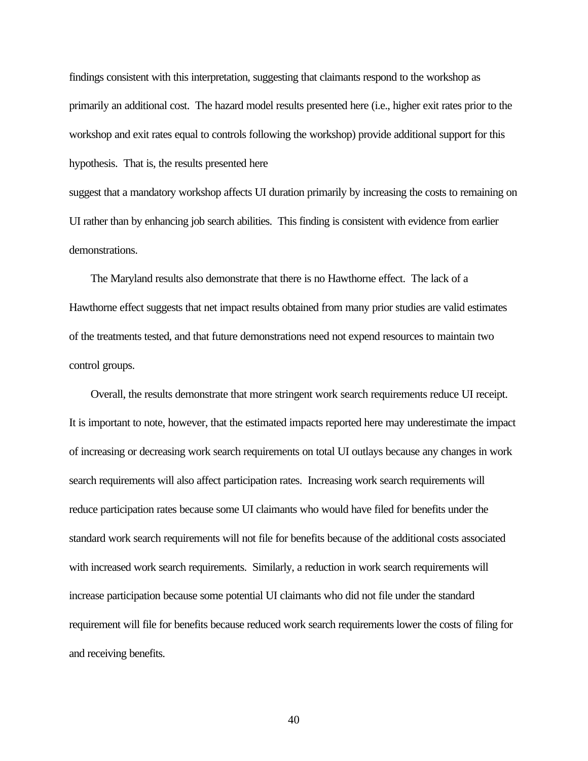findings consistent with this interpretation, suggesting that claimants respond to the workshop as primarily an additional cost. The hazard model results presented here (i.e., higher exit rates prior to the workshop and exit rates equal to controls following the workshop) provide additional support for this hypothesis. That is, the results presented here

suggest that a mandatory workshop affects UI duration primarily by increasing the costs to remaining on UI rather than by enhancing job search abilities. This finding is consistent with evidence from earlier demonstrations.

The Maryland results also demonstrate that there is no Hawthorne effect. The lack of a Hawthorne effect suggests that net impact results obtained from many prior studies are valid estimates of the treatments tested, and that future demonstrations need not expend resources to maintain two control groups.

Overall, the results demonstrate that more stringent work search requirements reduce UI receipt. It is important to note, however, that the estimated impacts reported here may underestimate the impact of increasing or decreasing work search requirements on total UI outlays because any changes in work search requirements will also affect participation rates. Increasing work search requirements will reduce participation rates because some UI claimants who would have filed for benefits under the standard work search requirements will not file for benefits because of the additional costs associated with increased work search requirements. Similarly, a reduction in work search requirements will increase participation because some potential UI claimants who did not file under the standard requirement will file for benefits because reduced work search requirements lower the costs of filing for and receiving benefits.

40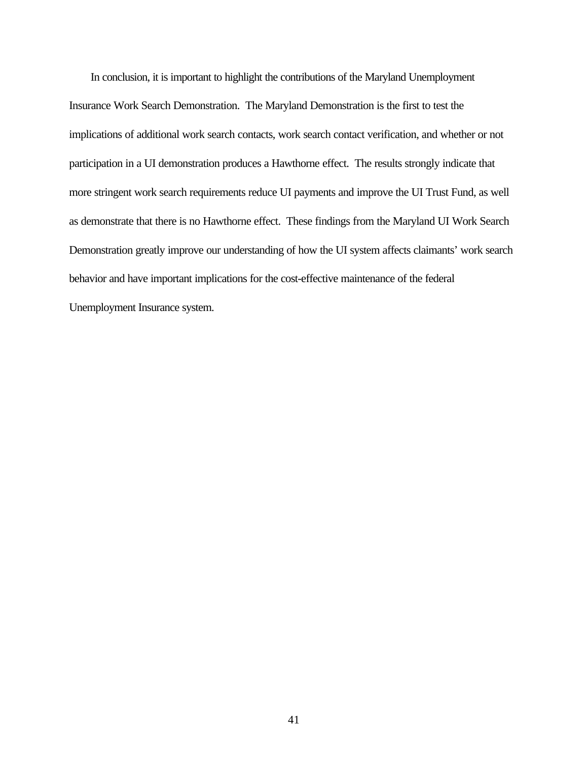In conclusion, it is important to highlight the contributions of the Maryland Unemployment Insurance Work Search Demonstration. The Maryland Demonstration is the first to test the implications of additional work search contacts, work search contact verification, and whether or not participation in a UI demonstration produces a Hawthorne effect. The results strongly indicate that more stringent work search requirements reduce UI payments and improve the UI Trust Fund, as well as demonstrate that there is no Hawthorne effect. These findings from the Maryland UI Work Search Demonstration greatly improve our understanding of how the UI system affects claimants' work search behavior and have important implications for the cost-effective maintenance of the federal Unemployment Insurance system.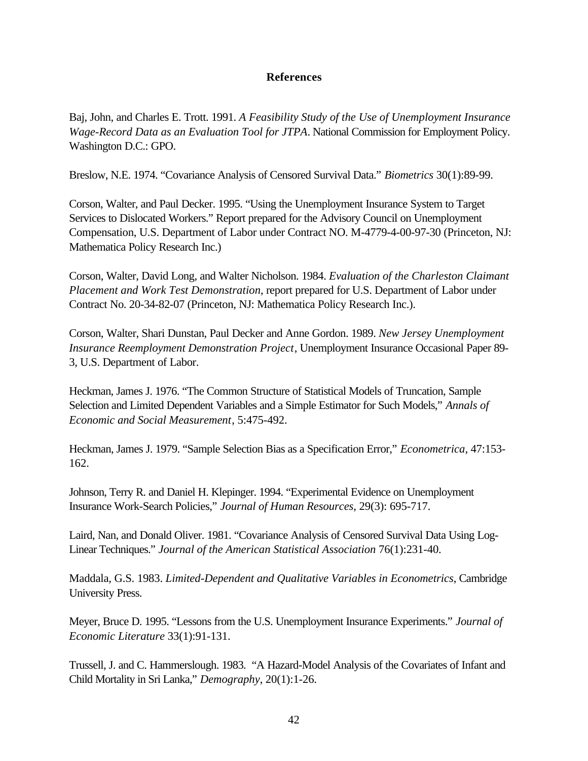# **References**

Baj, John, and Charles E. Trott. 1991. *A Feasibility Study of the Use of Unemployment Insurance Wage-Record Data as an Evaluation Tool for JTPA*. National Commission for Employment Policy. Washington D.C.: GPO.

Breslow, N.E. 1974. "Covariance Analysis of Censored Survival Data." *Biometrics* 30(1):89-99.

Corson, Walter, and Paul Decker. 1995. "Using the Unemployment Insurance System to Target Services to Dislocated Workers." Report prepared for the Advisory Council on Unemployment Compensation, U.S. Department of Labor under Contract NO. M-4779-4-00-97-30 (Princeton, NJ: Mathematica Policy Research Inc.)

Corson, Walter, David Long, and Walter Nicholson. 1984. *Evaluation of the Charleston Claimant Placement and Work Test Demonstration*, report prepared for U.S. Department of Labor under Contract No. 20-34-82-07 (Princeton, NJ: Mathematica Policy Research Inc.).

Corson, Walter, Shari Dunstan, Paul Decker and Anne Gordon. 1989. *New Jersey Unemployment Insurance Reemployment Demonstration Project*, Unemployment Insurance Occasional Paper 89- 3, U.S. Department of Labor.

Heckman, James J. 1976. "The Common Structure of Statistical Models of Truncation, Sample Selection and Limited Dependent Variables and a Simple Estimator for Such Models," *Annals of Economic and Social Measurement*, 5:475-492.

Heckman, James J. 1979. "Sample Selection Bias as a Specification Error," *Econometrica*, 47:153- 162.

Johnson, Terry R. and Daniel H. Klepinger. 1994. "Experimental Evidence on Unemployment Insurance Work-Search Policies," *Journal of Human Resources*, 29(3): 695-717.

Laird, Nan, and Donald Oliver. 1981. "Covariance Analysis of Censored Survival Data Using Log-Linear Techniques." *Journal of the American Statistical Association* 76(1):231-40.

Maddala, G.S. 1983. *Limited-Dependent and Qualitative Variables in Econometrics*, Cambridge University Press.

Meyer, Bruce D. 1995. "Lessons from the U.S. Unemployment Insurance Experiments." *Journal of Economic Literature* 33(1):91-131.

Trussell, J. and C. Hammerslough. 1983. "A Hazard-Model Analysis of the Covariates of Infant and Child Mortality in Sri Lanka," *Demography*, 20(1):1-26.